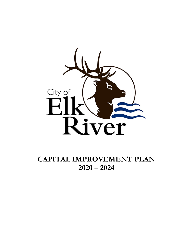

**CAPITAL IMPROVEMENT PLAN 2020 – 2024**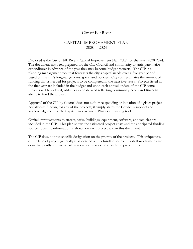#### City of Elk River

#### CAPITAL IMPROVEMENT PLAN  $2020 - 2024$

Enclosed is the City of Elk River's Capital Improvement Plan (CIP) for the years 2020-2024. The document has been prepared for the City Council and community to anticipate major expenditures in advance of the year they may become budget requests. The CIP is a planning management tool that forecasts the city's capital needs over a five-year period based on the city's long-range plans, goals, and policies. City staff estimates the amount of funding that is needed for projects to be completed in the next five years. Projects listed in the first year are included in the budget and upon each annual update of the CIP some projects will be deleted, added, or even delayed reflecting community needs and financial ability to fund the project.

Approval of the CIP by Council does not authorize spending or initiation of a given project nor allocate funding for any of the projects; it simply states the Council's support and acknowledgement of the Capital Improvement Plan as a planning tool.

Capital improvements to streets, parks, buildings, equipment, software, and vehicles are included in the CIP. This plan shows the estimated project costs and the anticipated funding source. Specific information is shown on each project within this document.

The CIP does not put specific designation on the priority of the projects. This uniqueness of the type of project generally is associated with a funding source. Cash flow estimates are done frequently to review cash reserve levels associated with the project funds.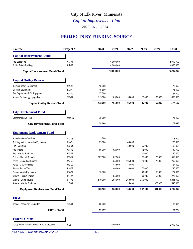## City of Elk River, Minnesota

#### *Capital Improvement Plan*

**2020** thru **2024**

#### **PROJECTS BY FUNDING SOURCE**

| <b>Source</b>                                | Project #    | 2020    | 2021       | 2022    | 2023    | 2024    | <b>Total</b> |
|----------------------------------------------|--------------|---------|------------|---------|---------|---------|--------------|
| <b>Capital Improvement Bonds</b>             |              |         |            |         |         |         |              |
| Fire Station #3                              | FS-03        |         | 6,000,000  |         |         |         | 6,000,000    |
| <b>Public Safety Building</b>                | $PS-03$      |         | 4,000,000  |         |         |         | 4,000,000    |
| <b>Capital Improvement Bonds Total</b>       |              |         | 10,000,000 |         |         |         | 10,000,000   |
| <b>Capital Outlay Reserve</b>                |              |         |            |         |         |         |              |
| <b>Building Safety Equipment</b>             | <b>BZ-02</b> | 15,000  |            |         |         |         | 15,000       |
| <b>Election Equipment</b>                    | $EL-01$      | 15,600  |            |         |         |         | 15,600       |
| Fire Department/EOC Equipment                | $FD-10$      | 27,000  |            |         |         |         | 27,000       |
| Annual Technology Upgrades                   | TC-01        | 115,000 | 165,000    | 95,000  | 25,000  | 60,000  | 460,000      |
| <b>Capital Outlay Reserve Total</b>          |              | 172,600 | 165,000    | 95,000  | 25,000  | 60,000  | 517,600      |
| <b>City Development Fund</b>                 |              |         |            |         |         |         |              |
| Comprehensive Plan                           | $Plan-02$    | 75,000  |            |         |         |         | 75,000       |
| <b>City Development Fund Total</b>           |              | 75,000  |            |         |         |         | 75,000       |
| <b>Equipment Replacement Fund</b>            |              |         |            |         |         |         |              |
| <b>Administration - Vehicles</b>             | $AD-03$      | 3,600   |            |         |         |         | 3,600        |
| Building Maint. - Vehicles/Equipment         | <b>BM-01</b> | 75,000  |            | 40,000  |         |         | 115,000      |
| Fire - Vehicles                              | $FD-01$      |         |            | 50,000  | 55,000  |         | 105,000      |
| Fire Trucks                                  | $FD-02$      | 65,000  | 52,000     |         | 52,000  |         | 169,000      |
| Fire - Mobile Equipment                      | FD-07        |         |            |         | 20,000  |         | 20,000       |
| Police - Marked Squads                       | $PD-01$      | 187,500 | 62,500     |         | 125,000 | 125,000 | 500,000      |
| Police - Unmarked Squads                     | $PD-02$      |         | 35,000     | 105,000 | 70,000  | 70,000  | 280,000      |
| Police - CSO Vehicles                        | $PD-03$      |         | 43,500     | 43,500  |         |         | 87,000       |
| Parks - Pickup Trucks                        | PK-18        |         | 40,000     | 30,000  | 70,000  |         | 140,000      |
| Parks - Mobile Equipment                     | PK-19        | 15,000  |            |         | 90,000  | 66,000  | 171,000      |
| Streets - Pickup Trucks                      | ST-01        |         | 65,000     |         | 160,000 | 50,000  | 275,000      |
| Streets - Dump Trucks                        | ST-02        | 510,000 | 255,000    | 260,000 | 260,000 |         | 1,285,000    |
| Streets - Mobile Equipment                   | ST-03        |         |            | 225,000 |         | 370,000 | 595,000      |
| <b>Equipment Replacement Fund Total</b>      |              | 856,100 | 553,000    | 753,500 | 902,000 | 681,000 | 3,745,600    |
| <b>ERMU</b>                                  |              |         |            |         |         |         |              |
| Annual Technology Upgrades                   | TC-01        | 65,000  |            |         |         |         | 65,000       |
| <b>ERMU Total</b>                            |              | 65,000  |            |         |         |         | 65,000       |
| <b>Federal Grants</b>                        |              |         |            |         |         |         |              |
| Kelley Pkwy/Twin Lakes Rd/TH 10 Intersection | $II-08$      |         | 2,000,000  |         |         |         | 2,000,000    |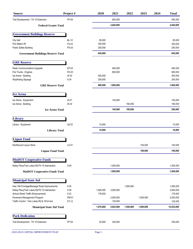| <b>Source</b>                                                                              | Project #          | 2020      | 2021      | 2022      | 2023      | 2024 | <b>Total</b>           |
|--------------------------------------------------------------------------------------------|--------------------|-----------|-----------|-----------|-----------|------|------------------------|
| Trail Development - TH 10 Extension                                                        | $PF-64$            |           | 640,000   |           |           |      | 640,000                |
| <b>Federal Grants Total</b>                                                                |                    |           | 2,640,000 |           |           |      | 2,640,000              |
| <b>Government Buildings Reserve</b>                                                        |                    |           |           |           |           |      |                        |
| City Hall                                                                                  | <b>BL-10</b>       | 95,000    |           |           |           |      | 95,000                 |
| Fire Station #3                                                                            | $FS-03$            | 300,000   |           |           |           |      | 300,000                |
| <b>Public Safety Building</b>                                                              | $PS-03$            | 250,000   |           |           |           |      | 250,000                |
| <b>Government Buildings Reserve Total</b>                                                  |                    | 645,000   |           |           |           |      | 645,000                |
| <b>GRE Reserve</b>                                                                         |                    |           |           |           |           |      |                        |
| Radio Communications Upgrade                                                               | $EP-02$            |           | 460,000   |           |           |      | 460,000                |
| Fire Trucks - Engines                                                                      | $FD-03$            |           | 600,000   |           |           |      | 600,000                |
| Ice Arena - Building                                                                       | $IA-02$            | 400,000   |           |           |           |      | 400,000                |
| Wayfinding Signage                                                                         | $II-34$            | 200,000   |           |           |           |      | 200,000                |
| <b>GRE Reserve Total</b>                                                                   |                    | 600,000   | 1,060,000 |           |           |      | 1,660,000              |
| <b>Ice Arena</b>                                                                           |                    |           |           |           |           |      |                        |
| Ice Arena - Equipment                                                                      | IA-01              |           | 140,000   |           |           |      | 140,000                |
| Ice Arena - Building                                                                       | $IA-02$            |           |           | 160,000   |           |      | 160,000                |
| <b>Ice Arena Total</b>                                                                     |                    |           | 140,000   | 160,000   |           |      | 300,000                |
|                                                                                            |                    |           |           |           |           |      |                        |
| Library                                                                                    |                    |           |           |           |           |      |                        |
| Library - Equipment                                                                        | $LB-03$            | 10,000    |           |           |           |      | 10,000                 |
| <b>Library Total</b>                                                                       |                    | 10,000    |           |           |           |      | 10,000                 |
| <b>Liquor Fund</b>                                                                         |                    |           |           |           |           |      |                        |
| Northbound Liquor Store                                                                    | LS-01              |           |           |           | 100,000   |      | 100,000                |
| <b>Liquor Fund Total</b>                                                                   |                    |           |           |           | 100,000   |      | 100,000                |
| <b>MnDOT Cooperative Funds</b>                                                             |                    |           |           |           |           |      |                        |
| Kelley Pkwy/Twin Lakes Rd/TH 10 Intersection                                               | $II-08$            |           | 1,000,000 |           |           |      | 1,000,000              |
| <b>MnDOT Cooperative Funds Total</b>                                                       |                    |           | 1,000,000 |           |           |      | 1,000,000              |
| <b>Municipal State Aid</b>                                                                 |                    |           |           |           |           |      |                        |
|                                                                                            |                    |           |           |           |           |      |                        |
| Hwy 169 Frontage/Backage Road Improvements<br>Kelley Pkwy/Twin Lakes Rd/TH 10 Intersection | $II-00$<br>$II-08$ | 1,800,000 | 3,000,000 | 1,950,000 |           |      | 1,950,000<br>4,800,000 |
| <b>School Street Traffic Enhancements</b>                                                  | $II-22$            | 178,000   |           |           |           |      | 178,000                |
| Pavement Management Program                                                                | PM-01              |           | 2,500,000 |           | 1,000,000 |      | 3,500,000              |
| Traffic Control - Twin Lakes Rd & 181st Ave                                                | ST-12              |           | 125,000   |           |           |      | 125,000                |
| <b>Municipal State Aid Total</b>                                                           |                    | 1,978,000 | 5,625,000 | 1,950,000 | 1,000,000 |      | 10,553,000             |
| <b>Park Dedication</b>                                                                     |                    |           |           |           |           |      |                        |
| Trail Development - TH 10 Extension                                                        | PF-64              | 20,000    | 320,000   |           |           |      | 340,000                |
|                                                                                            |                    |           |           |           |           |      |                        |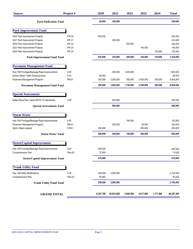| <b>Source</b>                                                                                                                        | Project#                                                    | 2020              | 2021                 | 2022                 | 2023              | 2024      | <b>Total</b>                             |
|--------------------------------------------------------------------------------------------------------------------------------------|-------------------------------------------------------------|-------------------|----------------------|----------------------|-------------------|-----------|------------------------------------------|
| <b>Park Dedication Total</b>                                                                                                         |                                                             | 20,000            | 320,000              |                      |                   |           | 340,000                                  |
| <b>Park Improvement Fund</b>                                                                                                         |                                                             |                   |                      |                      |                   |           |                                          |
| 2020 Park Improvement Projects<br>2021 Park Improvement Projects<br>2022 Park Improvement Projects<br>2023 Park Improvement Projects | <b>PIF-20</b><br><b>PIF-21</b><br><b>PIF-22</b><br>$PIF-23$ | 652,000           | 230,000              | 200,000              | 140,000           |           | 652,000<br>230,000<br>200,000<br>140,000 |
| 2024 Park Improvement Projects                                                                                                       | $PIF-24$                                                    |                   |                      |                      |                   | 130,000   | 130,000                                  |
| <b>Park Improvement Fund Total</b>                                                                                                   |                                                             | 652,000           | 230,000              | 200,000              | 140,000           | 130,000   | 1,352,000                                |
| <b>Pavement Management Fund</b>                                                                                                      |                                                             |                   |                      |                      |                   |           |                                          |
| Hwy 169 Frontage/Backage Road Improvements<br><b>School Street Traffic Enhancements</b><br>Pavement Management Program               | $II-00$<br>$II-22$<br>PM-01                                 | 59,000<br>300,000 | 500,000<br>3,350,000 | 1,450,000<br>300,000 | 2,550,000         | 300,000   | 1,950,000<br>59,000<br>6,800,000         |
| <b>Pavement Management Fund Total</b>                                                                                                |                                                             | 359,000           | 3,850,000            | 1,750,000            | 2,550,000         | 300,000   | 8,809,000                                |
| <b>Special Assessments</b>                                                                                                           |                                                             |                   |                      |                      |                   |           |                                          |
| Kelley Pkwy/Twin Lakes Rd/TH 10 Intersection                                                                                         | $II-08$                                                     |                   | 500,000              |                      |                   |           | 500,000                                  |
| <b>Special Assessments Total</b>                                                                                                     |                                                             |                   | 500,000              |                      |                   |           | 500,000                                  |
| <b>Storm Water</b>                                                                                                                   |                                                             |                   |                      |                      |                   |           |                                          |
| Hwy 169 Frontage/Backage Road Improvements<br>Pavement Management Program<br>Storm Water projects                                    | $II-00$<br>PM-01<br>STM-1                                   | 200,000           | 250,000              | 100,000              | 50,000<br>250,000 |           | 100,000<br>300,000<br>450,000            |
| <b>Storm Water Total</b>                                                                                                             |                                                             | 200,000           | 250,000              | 100,000              | 300,000           |           | 850,000                                  |
| <b>Street/Capital Improvement</b>                                                                                                    |                                                             |                   |                      |                      |                   |           |                                          |
| Hwy 169 Frontage/Backage Road Improvements<br>Comprehensive Plan                                                                     | $II-00$<br>Plan-02                                          | 400,000<br>75,000 |                      |                      |                   |           | 400,000<br>75,000                        |
| <b>Street/Capital Improvement Total</b>                                                                                              |                                                             | 475,000           |                      |                      |                   |           | 475,000                                  |
| <b>Trunk Utility Fund</b>                                                                                                            |                                                             |                   |                      |                      |                   |           |                                          |
| Hwy 169 Utility Modifications<br>Comprehensive Plan                                                                                  | $II-36$<br>$Plan-02$                                        | 200,000<br>50,000 | 2,500,000            |                      |                   |           | 2,700,000<br>50,000                      |
| <b>Trunk Utility Fund Total</b>                                                                                                      |                                                             | 250,000           | 2,500,000            |                      |                   |           | 2,750,000                                |
| <b>GRAND TOTAL</b>                                                                                                                   |                                                             | 6,357,700         | 28,833,000           | 5,008,500            | 5,017,000         | 1,171,000 | 46,387,200                               |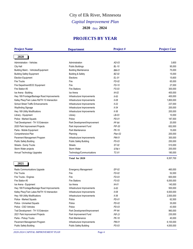## *Capital Improvement Plan* City of Elk River, Minnesota

**2020** thru **2024**

#### **PROJECTS BY YEAR**

| <b>Project Name</b>                          | <b>Department</b>             | Project#      | <b>Project Cost</b> |  |
|----------------------------------------------|-------------------------------|---------------|---------------------|--|
| 2020                                         |                               |               |                     |  |
| Administration - Vehicles                    | Administration                | $AD-03$       | 3,600               |  |
| City Hall                                    | <b>Public Buildings</b>       | $BL-10$       | 95,000              |  |
| Building Maint. - Vehicles/Equipment         | <b>Building Maintenance</b>   | <b>BM-01</b>  | 75,000              |  |
| <b>Building Safety Equipment</b>             | <b>Building &amp; Safety</b>  | <b>BZ-02</b>  | 15,000              |  |
| <b>Election Equipment</b>                    | Elections                     | $EL-01$       | 15,600              |  |
| <b>Fire Trucks</b>                           | Fire                          | $FD-02$       | 65,000              |  |
| Fire Department/EOC Equipment                | Fire                          | FD-10         | 27,000              |  |
| Fire Station #3                              | <b>Fire Stations</b>          | FS-03         | 300,000             |  |
| Ice Arena - Building                         | Ice Arena                     | $IA-02$       | 400,000             |  |
| Hwy 169 Frontage/Backage Road Improvements   | Infrastructure Improvements   | $II-00$       | 400,000             |  |
| Kelley Pkwy/Twin Lakes Rd/TH 10 Intersection | Infrastructure Improvements   | $II-08$       | 1,800,000           |  |
| <b>School Street Traffic Enhancements</b>    | Infrastructure Improvements   | $II-22$       | 237,000             |  |
| Wayfinding Signage                           | Infrastructure Improvements   | $II-34$       | 200,000             |  |
| Hwy 169 Utility Modifications                | Infrastructure Improvements   | $II-36$       | 200,000             |  |
| Library - Equipment                          | Library                       | $LB-03$       | 10,000              |  |
| Police - Marked Squads                       | Police                        | PD-01         | 187,500             |  |
| Trail Development - TH 10 Extension          | Park Development/Improvement  | PF-64         | 20,000              |  |
| 2020 Park Improvement Projects               | Park Improvement Fund         | <b>PIF-20</b> | 652,000             |  |
| Parks - Mobile Equipment                     | Park Maintenance              | PK-19         | 15,000              |  |
| Comprehensive Plan                           | Planning                      | $Plan-02$     | 200,000             |  |
| Pavement Management Program                  | Infrastructure Improvements   | PM-01         | 300,000             |  |
| <b>Public Safety Building</b>                | <b>Public Safety Building</b> | PS-03         | 250,000             |  |
| <b>Streets - Dump Trucks</b>                 | <b>Streets</b>                | ST-02         | 510,000             |  |
| Storm Water projects                         | Storm Water                   | STM-1         | 200,000             |  |
| Annual Technology Upgrades                   | Technology/Communications     | TC-01         | 180,000             |  |
|                                              | Total for 2020                |               | 6,357,700           |  |
|                                              |                               |               |                     |  |
| 2021                                         |                               |               |                     |  |
| Radio Communications Upgrade                 | <b>Emergency Management</b>   | $EP-02$       | 460,000             |  |
| <b>Fire Trucks</b>                           | Fire                          | $FD-02$       | 52,000              |  |
| Fire Trucks - Engines                        | Fire                          | FD-03         | 600,000             |  |
| Fire Station #3                              | <b>Fire Stations</b>          | FS-03         | 6,000,000           |  |
| Ice Arena - Equipment                        | Ice Arena                     | $IA-01$       | 140,000             |  |
| Hwy 169 Frontage/Backage Road Improvements   | Infrastructure Improvements   | $II-00$       | 500,000             |  |
| Kelley Pkwy/Twin Lakes Rd/TH 10 Intersection | Infrastructure Improvements   | $II-08$       | 6,500,000           |  |
| Hwy 169 Utility Modifications                | Infrastructure Improvements   | $II-36$       | 2,500,000           |  |
| Police - Marked Squads                       | Police                        | PD-01         | 62,500              |  |
| Police - Unmarked Squads                     | Police                        | PD-02         | 35,000              |  |
| Police - CSO Vehicles                        | Police                        | PD-03         | 43,500              |  |
| Trail Development - TH 10 Extension          | Park Development/Improvement  | PF-64         | 960,000             |  |
| 2021 Park Improvement Projects               | Park Improvement Fund         | <b>PIF-21</b> | 230,000             |  |
| Parks - Pickup Trucks                        | Park Maintenance              | PK-18         | 40,000              |  |
| Pavement Management Program                  | Infrastructure Improvements   | PM-01         | 6,100,000           |  |
| <b>Public Safety Building</b>                | Public Safety Building        | $PS-03$       | 4,000,000           |  |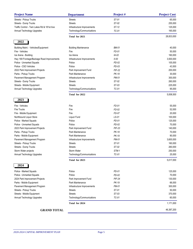| <b>Project Name</b>                         | <b>Department</b>                         | Project#      | <b>Project Cost</b> |  |
|---------------------------------------------|-------------------------------------------|---------------|---------------------|--|
| Streets - Pickup Trucks                     | <b>Streets</b>                            | ST-01         | 65,000              |  |
| Streets - Dump Trucks                       | <b>Streets</b>                            | ST-02         | 255,000             |  |
| Traffic Control - Twin Lakes Rd & 181st Ave | Infrastructure Improvements               | ST-12         | 125,000             |  |
| Annual Technology Upgrades                  | Technology/Communications                 | TC-01         | 165,000             |  |
|                                             | Total for 2021                            |               | 28,833,000          |  |
| 2022                                        |                                           |               |                     |  |
| Building Maint. - Vehicles/Equipment        | <b>Building Maintenance</b>               | <b>BM-01</b>  | 40,000              |  |
| Fire - Vehicles                             | Fire                                      | FD-01         | 50,000              |  |
| Ice Arena - Building                        | Ice Arena                                 | $IA-02$       | 160,000             |  |
| Hwy 169 Frontage/Backage Road Improvements  | Infrastructure Improvements               | $II-00$       | 3,500,000           |  |
| Police - Unmarked Squads                    | Police                                    | $PD-02$       | 105,000             |  |
| Police - CSO Vehicles                       | Police                                    | $PD-03$       | 43,500              |  |
| 2022 Park Improvement Projects              | Park Improvement Fund                     | <b>PIF-22</b> | 200,000             |  |
| Parks - Pickup Trucks                       | Park Maintenance                          | PK-18         | 30,000              |  |
| Pavement Management Program                 | Infrastructure Improvements               | PM-01         | 300,000             |  |
| Streets - Dump Trucks                       | <b>Streets</b>                            | ST-02         | 260,000             |  |
| Streets - Mobile Equipment                  | <b>Streets</b>                            | ST-03         | 225,000             |  |
| Annual Technology Upgrades                  | Technology/Communications                 | TC-01         | 95,000              |  |
|                                             | Total for 2022                            |               | 5,008,500           |  |
| 2023                                        |                                           |               |                     |  |
| Fire - Vehicles                             | Fire                                      | FD-01         | 55,000              |  |
| <b>Fire Trucks</b>                          | Fire                                      | $FD-02$       | 52,000              |  |
| Fire - Mobile Equipment                     | Fire                                      | FD-07         | 20,000              |  |
| Northbound Liquor Store                     | Liquor Fund                               | LS-01         | 100,000             |  |
| Police - Marked Squads                      | Police                                    | PD-01         | 125,000             |  |
| Police - Unmarked Squads                    | Police                                    | $PD-02$       | 70,000              |  |
| 2023 Park Improvement Projects              | Park Improvement Fund                     | $PIF-23$      | 140,000             |  |
| Parks - Pickup Trucks                       | Park Maintenance                          | PK-18         | 70,000              |  |
| Parks - Mobile Equipment                    | Park Maintenance                          | PK-19         | 90,000              |  |
| Pavement Management Program                 | Infrastructure Improvements               | PM-01         | 3,600,000           |  |
| Streets - Pickup Trucks                     | <b>Streets</b>                            | ST-01         | 160,000             |  |
| Streets - Dump Trucks                       | <b>Streets</b>                            | ST-02         | 260,000             |  |
| Storm Water projects                        | Storm Water                               | STM-1         | 250,000             |  |
| Annual Technology Upgrades                  | Technology/Communications                 | TC-01         | 25,000              |  |
|                                             | Total for 2023                            |               | 5,017,000           |  |
| 2024                                        |                                           |               |                     |  |
| Police - Marked Squads                      | Police                                    | $PD-01$       | 125,000             |  |
|                                             | Police                                    | $PD-02$       | 70,000              |  |
| Police - Unmarked Squads                    |                                           | <b>PIF-24</b> | 130,000             |  |
| 2024 Park Improvement Projects              | Park Improvement Fund<br>Park Maintenance | PK-19         | 66,000              |  |
| Parks - Mobile Equipment                    |                                           | PM-01         | 300,000             |  |
| Pavement Management Program                 | Infrastructure Improvements               | ST-01         |                     |  |
| Streets - Pickup Trucks                     | <b>Streets</b>                            | ST-03         | 50,000              |  |
| Streets - Mobile Equipment                  | <b>Streets</b>                            |               | 370,000             |  |
| Annual Technology Upgrades                  | Technology/Communications                 | TC-01         | 60,000              |  |
|                                             | Total for 2024                            |               | 1,171,000           |  |
| <b>GRAND TOTAL</b>                          |                                           |               | 46,387,200          |  |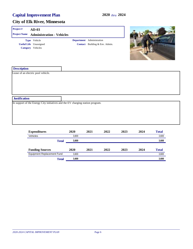| Project#             | $AD-03$                                                                        |              |       |                           |                                |      |      |              |  |  |  |  |
|----------------------|--------------------------------------------------------------------------------|--------------|-------|---------------------------|--------------------------------|------|------|--------------|--|--|--|--|
| <b>Project Name</b>  | <b>Administration - Vehicles</b>                                               |              |       |                           |                                |      |      |              |  |  |  |  |
|                      | Type Vehicle                                                                   |              |       | Department Administration |                                |      |      |              |  |  |  |  |
|                      | <b>Useful Life</b> Unassigned                                                  |              |       |                           | Contact Building & Env. Admin. |      |      |              |  |  |  |  |
|                      | Category Vehicles                                                              |              |       |                           |                                |      |      |              |  |  |  |  |
| <b>Description</b>   |                                                                                |              |       |                           |                                |      |      |              |  |  |  |  |
|                      | Lease of an electric pool vehicle.                                             |              |       |                           |                                |      |      |              |  |  |  |  |
|                      |                                                                                |              |       |                           |                                |      |      |              |  |  |  |  |
|                      |                                                                                |              |       |                           |                                |      |      |              |  |  |  |  |
|                      |                                                                                |              |       |                           |                                |      |      |              |  |  |  |  |
|                      |                                                                                |              |       |                           |                                |      |      |              |  |  |  |  |
|                      |                                                                                |              |       |                           |                                |      |      |              |  |  |  |  |
| <b>Justification</b> |                                                                                |              |       |                           |                                |      |      |              |  |  |  |  |
|                      | In support of the Energy City initiatives and the EV charging station program. |              |       |                           |                                |      |      |              |  |  |  |  |
|                      |                                                                                |              |       |                           |                                |      |      |              |  |  |  |  |
|                      |                                                                                |              |       |                           |                                |      |      |              |  |  |  |  |
|                      |                                                                                |              |       |                           |                                |      |      |              |  |  |  |  |
|                      |                                                                                |              |       |                           |                                |      |      |              |  |  |  |  |
|                      |                                                                                |              |       |                           |                                |      |      |              |  |  |  |  |
|                      | <b>Expenditures</b>                                                            |              | 2020  | 2021                      | 2022                           | 2023 | 2024 | <b>Total</b> |  |  |  |  |
|                      | Vehicles                                                                       |              | 3,600 |                           |                                |      |      | 3,600        |  |  |  |  |
|                      |                                                                                | <b>Total</b> | 3,600 |                           |                                |      |      | 3,600        |  |  |  |  |
|                      |                                                                                |              |       |                           |                                |      |      |              |  |  |  |  |

| <b>Funding Sources</b>            | 2020  | 2021 | 2022 | 2023 | 2024 | <b>Total</b> |
|-----------------------------------|-------|------|------|------|------|--------------|
| <b>Equipment Replacement Fund</b> | 3.600 |      |      |      |      | 3.600        |
| Total                             | 3.600 |      |      |      |      | 3,600        |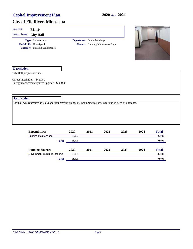| Project#                    | $BL-10$                                                                                                      |                        |                                    |                                           |      |      |              |
|-----------------------------|--------------------------------------------------------------------------------------------------------------|------------------------|------------------------------------|-------------------------------------------|------|------|--------------|
| <b>Project Name</b>         | <b>City Hall</b>                                                                                             |                        |                                    |                                           |      |      |              |
|                             | Type Maintenance                                                                                             |                        | <b>Department</b> Public Buildings |                                           |      |      |              |
|                             | <b>Useful Life</b> Unassigned                                                                                |                        |                                    | <b>Contact</b> Building Maintenance Supv. |      |      |              |
|                             | <b>Category</b> Building Maintenance                                                                         |                        |                                    |                                           |      |      |              |
| <b>Description</b>          |                                                                                                              |                        |                                    |                                           |      |      |              |
| City Hall projects include: |                                                                                                              |                        |                                    |                                           |      |      |              |
|                             | Energy management system upgrade - \$50,000                                                                  |                        |                                    |                                           |      |      |              |
| <b>Justification</b>        |                                                                                                              |                        |                                    |                                           |      |      |              |
|                             | City hall was renovated in 2003 and fixtures/furnishings are beginning to show wear and in need of upgrades. |                        |                                    |                                           |      |      |              |
|                             | <b>Expenditures</b>                                                                                          | 2020                   | 2021                               | 2022                                      | 2023 | 2024 | <b>Total</b> |
|                             | <b>Building Maintenance</b>                                                                                  | 95,000                 |                                    |                                           |      |      | 95,000       |
|                             |                                                                                                              | 95,000<br><b>Total</b> |                                    |                                           |      |      | 95,000       |

| TORT                         | vv.vvv |      |      |      |      | vv.vvv       |
|------------------------------|--------|------|------|------|------|--------------|
| <b>Funding Sources</b>       | 2020   | 2021 | 2022 | 2023 | 2024 | <b>Total</b> |
| Government Buildings Reserve | 95.000 |      |      |      |      | 95,000       |
| Total                        | 95,000 |      |      |      |      | 95,000       |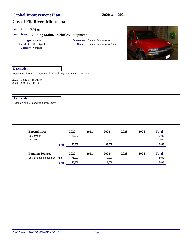#### **City of Elk River, Minnesota**

| Project#<br><b>Project Name</b>                      | <b>BM-01</b><br><b>Building Maint. - Vehicles/Equipment</b>        |                   |                                                                          |  |
|------------------------------------------------------|--------------------------------------------------------------------|-------------------|--------------------------------------------------------------------------|--|
|                                                      | Type Vehicle<br><b>Useful Life</b> Unassigned<br>Category Vehicles | <b>Department</b> | <b>Building Maintenance</b><br><b>Contact</b> Building Maintenance Supv. |  |
| <b>Description</b>                                   | Replacement vehicles/equipment for building maintenance division:  |                   |                                                                          |  |
| 2020 - Genie lift & trailer<br>2021 - 2008 Ford F350 |                                                                    |                   |                                                                          |  |

#### **Justification**

Based on annual condition assessment

| <b>Expenditures</b>               | 2020                             | 2021 | 2022   | 2023 | 2024    | <b>Total</b> |
|-----------------------------------|----------------------------------|------|--------|------|---------|--------------|
| Equipment                         | 75,000                           |      |        |      |         | 75,000       |
| Vehicles                          |                                  |      | 40.000 |      |         | 40,000       |
|                                   | 40,000<br>75,000<br><b>Total</b> |      |        |      | 115,000 |              |
|                                   |                                  |      |        |      |         |              |
| <b>Funding Sources</b>            | 2020                             | 2021 | 2022   | 2023 | 2024    | <b>Total</b> |
| <b>Equipment Replacement Fund</b> | 75,000                           |      | 40.000 |      |         | 115,000      |
| <b>Total</b>                      | 75.000                           |      | 40,000 |      |         | 115,000      |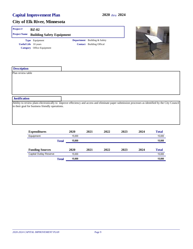| Project#                    | <b>BZ-02</b>                                                                                                                                                                                          |      |                                     |      |      |      |              |
|-----------------------------|-------------------------------------------------------------------------------------------------------------------------------------------------------------------------------------------------------|------|-------------------------------------|------|------|------|--------------|
| <b>Project Name</b>         | <b>Building Safety Equipment</b>                                                                                                                                                                      |      |                                     |      |      |      |              |
|                             | Type Equipment                                                                                                                                                                                        |      | <b>Department</b> Building & Safety |      |      |      |              |
| <b>Useful Life</b> 10 years |                                                                                                                                                                                                       |      | <b>Contact</b> Building Offical     |      |      |      |              |
|                             | Category Office Equipment                                                                                                                                                                             |      |                                     |      |      |      |              |
| <b>Description</b>          |                                                                                                                                                                                                       |      |                                     |      |      |      |              |
|                             |                                                                                                                                                                                                       |      |                                     |      |      |      |              |
| <b>Justification</b>        |                                                                                                                                                                                                       |      |                                     |      |      |      |              |
|                             | Ability to review plans electronically to improve effeciency and access and eliminate paper submission processes as identified by the City Council<br>in their goal for business friendly operations. |      |                                     |      |      |      |              |
|                             | <b>Expenditures</b>                                                                                                                                                                                   | 2020 | 2021                                | 2022 | 2023 | 2024 | <b>Total</b> |

| Equipment                     |              | 15.000 |      |      |      |      | 15,000       |
|-------------------------------|--------------|--------|------|------|------|------|--------------|
|                               | <b>Total</b> | 15,000 |      |      |      |      | 15,000       |
|                               |              |        |      |      |      |      |              |
| <b>Funding Sources</b>        |              | 2020   | 2021 | 2022 | 2023 | 2024 | <b>Total</b> |
| <b>Capital Outlay Reserve</b> |              | 15.000 |      |      |      |      | 15,000       |
|                               | Total        | 15,000 |      |      |      |      | 15,000       |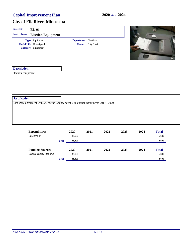| Project#             | <b>EL-01</b>                                                                          |                             |                           |      |      |      |              |  |
|----------------------|---------------------------------------------------------------------------------------|-----------------------------|---------------------------|------|------|------|--------------|--|
| <b>Project Name</b>  | <b>Election Equipment</b>                                                             |                             |                           |      |      |      |              |  |
|                      | Type Equipment                                                                        | <b>Department</b> Elections |                           |      |      |      |              |  |
|                      | <b>Useful Life</b> Unassigned                                                         |                             | <b>Contact</b> City Clerk |      |      |      |              |  |
|                      | Category Equipment                                                                    |                             |                           |      |      |      |              |  |
| <b>Description</b>   |                                                                                       |                             |                           |      |      |      |              |  |
| Election equipment   |                                                                                       |                             |                           |      |      |      |              |  |
| <b>Justification</b> |                                                                                       |                             |                           |      |      |      |              |  |
|                      | Cost share agreement with Sherburne County payable in annual installments 2017 - 2020 |                             |                           |      |      |      |              |  |
|                      | <b>Expenditures</b>                                                                   | 2020                        | 2021                      | 2022 | 2023 | 2024 | <b>Total</b> |  |
|                      | Equipment                                                                             | 15,600                      |                           |      |      |      | 15,600       |  |
|                      | <b>Total</b>                                                                          | 15,600                      |                           |      |      |      | 15,600       |  |

| <b>Funding Sources</b> | <b>2020</b>            | 2021 | 2022 | 2023 | 2024 | <b>Total</b> |
|------------------------|------------------------|------|------|------|------|--------------|
| Capital Outlay Reserve | 15.600                 |      |      |      |      | 15.600       |
|                        | 15.600<br><b>Total</b> |      |      |      |      | 15,600       |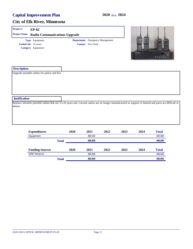| Project#                    | $EP-02$                                     |  |                                                                     |                                                                                                                                                       |
|-----------------------------|---------------------------------------------|--|---------------------------------------------------------------------|-------------------------------------------------------------------------------------------------------------------------------------------------------|
| <b>Project Name</b>         | <b>Radio Communications Upgrade</b>         |  |                                                                     |                                                                                                                                                       |
| <b>Useful Life</b> 10 years | Type Equipment<br>Category Equipment        |  | <b>Department</b> Emergency Management<br><b>Contact</b> Fire Chief | <b>KENVOOD</b>                                                                                                                                        |
| <b>Description</b>          | Upgrade portable radios for police and fire |  |                                                                     |                                                                                                                                                       |
| <b>Justification</b>        |                                             |  |                                                                     |                                                                                                                                                       |
| obtain.                     |                                             |  |                                                                     | Replace obsolete portable radios that are 15-20 years old. Current radios are no longer manufactured so support is limited and parts are difficult to |

| <b>Expenditures</b>    |              | 2020 | 2021    | 2022 | 2023 | 2024 | <b>Total</b> |
|------------------------|--------------|------|---------|------|------|------|--------------|
| Equipment              |              |      | 460.000 |      |      |      | 460,000      |
|                        | <b>Total</b> |      | 460.000 |      |      |      | 460,000      |
| <b>Funding Sources</b> |              | 2020 | 2021    | 2022 | 2023 | 2024 | <b>Total</b> |
| <b>GRE Reserve</b>     |              |      | 460.000 |      |      |      | 460,000      |
|                        | <b>Total</b> |      | 460.000 |      |      |      | 460,000      |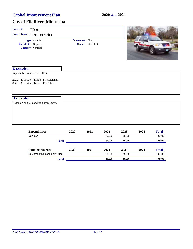| Project#             | $FD-01$                                                                      |                 |                           |        |        |      |              |
|----------------------|------------------------------------------------------------------------------|-----------------|---------------------------|--------|--------|------|--------------|
| <b>Project Name</b>  | <b>Fire - Vehicles</b>                                                       |                 |                           |        |        |      |              |
|                      | Type Vehicle                                                                 | Department Fire |                           |        |        |      |              |
|                      | <b>Useful Life</b> 10 years                                                  |                 | <b>Contact</b> Fire Chief |        |        |      |              |
|                      | Category Vehicles                                                            |                 |                           |        |        |      |              |
| <b>Description</b>   |                                                                              |                 |                           |        |        |      |              |
|                      | Replace fire vehicles as follows:                                            |                 |                           |        |        |      |              |
|                      | 2022 - 2013 Chev Tahoe - Fire Marshal<br>2023 - 2015 Chev Tahoe - Fire Chief |                 |                           |        |        |      |              |
| <b>Justification</b> |                                                                              |                 |                           |        |        |      |              |
|                      | Based on annual condition assessment.                                        |                 |                           |        |        |      |              |
|                      | <b>Expenditures</b>                                                          | 2020            | 2021                      | 2022   | 2023   | 2024 | <b>Total</b> |
|                      | Vehicles                                                                     |                 |                           | 50,000 | 55,000 |      | 105,000      |
|                      |                                                                              | T1.4.1          |                           | 50.000 | 55.000 |      | 105,000      |

|                            | Total |      | 50,000 | 55,000 |      | 105.000      |
|----------------------------|-------|------|--------|--------|------|--------------|
|                            |       |      |        |        |      |              |
| <b>Funding Sources</b>     | 2020  | 2021 | 2022   | 2023   | 2024 | <b>Total</b> |
| Equipment Replacement Fund |       |      | 50.000 | 55.000 |      | 105,000      |
|                            | Total |      | 50,000 | 55,000 |      | 105,000      |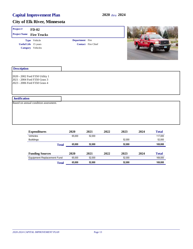| Project#             | $FD-02$                                                                                           |                        |                           |      |        |      |              |
|----------------------|---------------------------------------------------------------------------------------------------|------------------------|---------------------------|------|--------|------|--------------|
| <b>Project Name</b>  | <b>Fire Trucks</b>                                                                                |                        |                           |      |        |      |              |
|                      | Type Vehicle                                                                                      | <b>Department</b> Fire |                           |      |        |      |              |
|                      | <b>Useful Life</b> 15 years                                                                       |                        | <b>Contact</b> Fire Chief |      |        |      |              |
|                      | Category Vehicles                                                                                 |                        |                           |      |        |      |              |
| <b>Description</b>   |                                                                                                   |                        |                           |      |        |      |              |
|                      | 2020 - 2002 Ford F350 Utility 1<br>2021 - 2004 Ford F350 Grass 3<br>2023 - 2006 Ford F350 Grass 4 |                        |                           |      |        |      |              |
| <b>Justification</b> |                                                                                                   |                        |                           |      |        |      |              |
|                      | Based on annual condition assessment.                                                             |                        |                           |      |        |      |              |
|                      |                                                                                                   |                        |                           |      |        |      |              |
|                      | <b>Expenditures</b>                                                                               | 2020                   | 2021                      | 2022 | 2023   | 2024 | <b>Total</b> |
|                      | Vehicles                                                                                          | 65,000                 | 52,000                    |      |        |      | 117,000      |
|                      | <b>Ruildings</b>                                                                                  |                        |                           |      | 52.000 |      | 52.000       |

| Total                             | 65,000 | 52,000 |      | 52,000 |      | 169,000      |
|-----------------------------------|--------|--------|------|--------|------|--------------|
| <b>Equipment Replacement Fund</b> | 65.000 | 52.000 |      | 52.000 |      | 169,000      |
| <b>Funding Sources</b>            | 2020   | 2021   | 2022 | 2023   | 2024 | <b>Total</b> |
| <b>Total</b>                      | 65,000 | 52,000 |      | 52,000 |      | 169,000      |
| <b>Buildings</b>                  |        |        |      | 52.000 |      | 52,000       |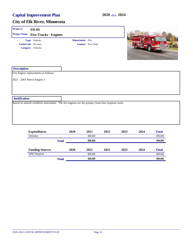| Project#                    | <b>FD-03</b>                                                                                      |                        |                           |      |      |      |              |
|-----------------------------|---------------------------------------------------------------------------------------------------|------------------------|---------------------------|------|------|------|--------------|
| <b>Project Name</b>         | <b>Fire Trucks - Engines</b>                                                                      |                        |                           |      |      |      |              |
|                             | Type Vehicle<br><b>Useful Life</b> 20 years<br>Category Vehicles                                  | <b>Department</b> Fire | <b>Contact</b> Fire Chief |      |      |      |              |
| <b>Description</b>          |                                                                                                   |                        |                           |      |      |      |              |
|                             | Fire Engine replacements as follows:                                                              |                        |                           |      |      |      |              |
| 2021 - 2001 Pierce Engine 3 |                                                                                                   |                        |                           |      |      |      |              |
| <b>Justification</b>        |                                                                                                   |                        |                           |      |      |      |              |
|                             | Based on annual condition assessment. The fire engines are the primary front-line response units. |                        |                           |      |      |      |              |
|                             | <b>Expenditures</b>                                                                               | 2020                   | 2021                      | 2022 | 2023 | 2024 | <b>Total</b> |

| <b>EXPOSITELLE</b>     |              | ---  | ----    | ---- | ---- | ---- | $\mathbf x$ . The same $\mathbf x$ |
|------------------------|--------------|------|---------|------|------|------|------------------------------------|
| Vehicles               |              |      | 600.000 |      |      |      | 600,000                            |
|                        | <b>Total</b> |      | 600.000 |      |      |      | 600,000                            |
| <b>Funding Sources</b> |              | 2020 | 2021    | 2022 | 2023 | 2024 | <b>Total</b>                       |
| <b>GRE Reserve</b>     |              |      | 600.000 |      |      |      | 600,000                            |
|                        | Total        |      | 600,000 |      |      |      | 600,000                            |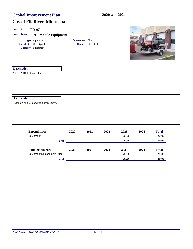| Project#                                        | $FD-07$                               |                        |                           |      |        |      |              |
|-------------------------------------------------|---------------------------------------|------------------------|---------------------------|------|--------|------|--------------|
| <b>Project Name</b>                             | <b>Fire - Mobile Equipment</b>        |                        |                           |      |        |      |              |
|                                                 | Type Equipment                        | <b>Department</b> Fire |                           |      |        |      |              |
|                                                 | <b>Useful Life</b> Unassigned         |                        | <b>Contact</b> Fire Chief |      |        |      |              |
|                                                 | Category Equipment                    |                        |                           |      |        |      |              |
| <b>Description</b>                              |                                       |                        |                           |      |        |      |              |
| 2023 - 2004 Polaris UTV<br><b>Justification</b> |                                       |                        |                           |      |        |      |              |
|                                                 | Based on annual condition assessment. |                        |                           |      |        |      |              |
|                                                 | <b>Expenditures</b>                   | 2020                   | 2021                      | 2022 | 2023   | 2024 | <b>Total</b> |
|                                                 | Equipment                             |                        |                           |      | 20,000 |      | 20,000       |
|                                                 |                                       | <b>Total</b>           |                           |      | 20,000 |      | 20,000       |

| rotar                             |      |      |      | LV.VVV |      | LV, VVV      |
|-----------------------------------|------|------|------|--------|------|--------------|
| <b>Funding Sources</b>            | 2020 | 2021 | 2022 | 2023   | 2024 | <b>Total</b> |
| <b>Equipment Replacement Fund</b> |      |      |      | 20.000 |      | 20.000       |
| Total                             |      |      |      | 20,000 |      | 20,000       |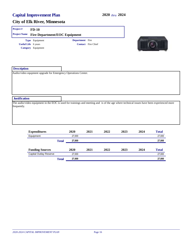| Project#                   | $FD-10$                                                                                                                                    |                        |                           |      |      |      |              |  |
|----------------------------|--------------------------------------------------------------------------------------------------------------------------------------------|------------------------|---------------------------|------|------|------|--------------|--|
| <b>Project Name</b>        | <b>Fire Department/EOC Equipment</b>                                                                                                       |                        |                           |      |      |      |              |  |
|                            | Type Equipment                                                                                                                             | <b>Department</b> Fire |                           |      |      |      |              |  |
| <b>Useful Life</b> 6 years |                                                                                                                                            |                        | <b>Contact</b> Fire Chief |      |      |      |              |  |
|                            | Category Equipment                                                                                                                         |                        |                           |      |      |      |              |  |
|                            |                                                                                                                                            |                        |                           |      |      |      |              |  |
|                            |                                                                                                                                            |                        |                           |      |      |      |              |  |
|                            |                                                                                                                                            |                        |                           |      |      |      |              |  |
| <b>Description</b>         |                                                                                                                                            |                        |                           |      |      |      |              |  |
|                            | Audio/video equpment upgrade for Emergency Operations Center.                                                                              |                        |                           |      |      |      |              |  |
|                            |                                                                                                                                            |                        |                           |      |      |      |              |  |
|                            |                                                                                                                                            |                        |                           |      |      |      |              |  |
|                            |                                                                                                                                            |                        |                           |      |      |      |              |  |
|                            |                                                                                                                                            |                        |                           |      |      |      |              |  |
| <b>Justification</b>       |                                                                                                                                            |                        |                           |      |      |      |              |  |
|                            | The audio/video equipment in the EOC is used for trainings and meeting and is of the age where technical issues have been experienced more |                        |                           |      |      |      |              |  |
| frequently.                |                                                                                                                                            |                        |                           |      |      |      |              |  |
|                            |                                                                                                                                            |                        |                           |      |      |      |              |  |
|                            |                                                                                                                                            |                        |                           |      |      |      |              |  |
|                            |                                                                                                                                            |                        |                           |      |      |      |              |  |
|                            |                                                                                                                                            |                        |                           |      |      |      |              |  |
|                            | <b>Expenditures</b>                                                                                                                        | 2020                   | 2021                      | 2022 | 2023 | 2024 | <b>Total</b> |  |

| Equipment                     |              | 27.000 |      |      |      |      | 27,000       |
|-------------------------------|--------------|--------|------|------|------|------|--------------|
|                               | <b>Total</b> | 27,000 |      |      |      |      | 27,000       |
| <b>Funding Sources</b>        |              | 2020   | 2021 | 2022 | 2023 | 2024 | <b>Total</b> |
| <b>Capital Outlay Reserve</b> |              | 27,000 |      |      |      |      | 27,000       |
|                               | <b>Total</b> | 27,000 |      |      |      |      | 27,000       |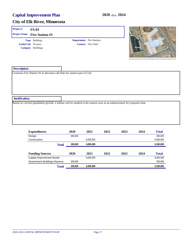|                      | <b>FS-03</b>                |                                 |                                                                             |
|----------------------|-----------------------------|---------------------------------|-----------------------------------------------------------------------------|
| <b>Project Name</b>  | <b>Fire Station #3</b>      |                                 |                                                                             |
|                      | Type Building               | <b>Department</b> Fire Stations |                                                                             |
|                      | <b>Useful Life</b> 50 years | <b>Contact</b> Fire Chief       |                                                                             |
|                      | Category Buildings          |                                 | Potamhial East Station Site on City Demand Property at 191/12. Ave NW and I |
| <b>Description</b>   |                             |                                 |                                                                             |
|                      |                             |                                 |                                                                             |
|                      |                             |                                 |                                                                             |
| <b>Justification</b> |                             |                                 |                                                                             |

| <b>Expenditures</b>          |              | 2020    | 2021      | 2022 | 2023 | 2024 | <b>Total</b> |
|------------------------------|--------------|---------|-----------|------|------|------|--------------|
| Design                       |              | 300.000 |           |      |      |      | 300.000      |
| Construction                 |              |         | 6,000,000 |      |      |      | 6,000,000    |
|                              | <b>Total</b> | 300,000 | 6,000,000 |      |      |      | 6,300,000    |
| <b>Funding Sources</b>       |              | 2020    | 2021      | 2022 | 2023 | 2024 | <b>Total</b> |
| Capital Improvement Bonds    |              |         | 6,000,000 |      |      |      | 6,000,000    |
| Government Buildings Reserve |              | 300.000 |           |      |      |      | 300,000      |
|                              | <b>Total</b> | 300,000 | 6,000,000 |      |      |      | 6,300,000    |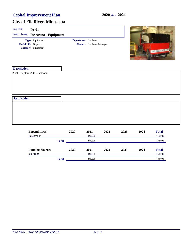| Project#<br><b>Project Name</b>                   | <b>IA-01</b><br>Ice Arena - Equipment |                      |                                  |                  |
|---------------------------------------------------|---------------------------------------|----------------------|----------------------------------|------------------|
| <b>Useful Life</b> 10 years<br>Category Equipment | Type Equipment                        | Department Ice Arena | <b>Contact</b> Ice Arena Manager | of <i>common</i> |
| <b>Description</b><br>2021 - Replace 2008 Zamboni |                                       |                      |                                  |                  |
| <b>Justification</b>                              |                                       |                      |                                  |                  |
|                                                   |                                       |                      |                                  |                  |

| <b>Expenditures</b>    |              | 2020 | 2021    | 2022 | 2023 | 2024 | <b>Total</b> |
|------------------------|--------------|------|---------|------|------|------|--------------|
| Equipment              |              |      | 140.000 |      |      |      | 140,000      |
|                        | <b>Total</b> |      | 140.000 |      |      |      | 140,000      |
| <b>Funding Sources</b> |              | 2020 | 2021    | 2022 | 2023 | 2024 | <b>Total</b> |
| Ice Arena              |              |      | 140.000 |      |      |      | 140,000      |
|                        | <b>Total</b> |      | 140.000 |      |      |      | 140,000      |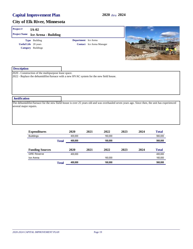| Project#                                       | <b>IA-02</b>                                                                                                                                    |                             |                                  |                                                                                                                                                 |
|------------------------------------------------|-------------------------------------------------------------------------------------------------------------------------------------------------|-----------------------------|----------------------------------|-------------------------------------------------------------------------------------------------------------------------------------------------|
| <b>Project Name</b>                            | <b>Ice Arena - Building</b>                                                                                                                     |                             |                                  |                                                                                                                                                 |
|                                                | Type Building<br><b>Useful Life</b> 20 years<br>Category Buildings                                                                              | <b>Department</b> Ice Arena | <b>Contact</b> Ice Arena Manager |                                                                                                                                                 |
| <b>Description</b>                             | 2020 - Construction of the multipurpose lease space.<br>2022 - Replace the dehumidifier/furnace with a new HVAC system for the new field house. |                             |                                  |                                                                                                                                                 |
| <b>Justification</b><br>several major repairs. |                                                                                                                                                 |                             |                                  | The dehumidifier/furnace for the new fiield house is over 25 years old and was overhauled seven years ago. Since then, the unit has experienced |

| <b>Expenditures</b>    |              | 2020    | 2021 | 2022    | 2023 | 2024 | <b>Total</b> |
|------------------------|--------------|---------|------|---------|------|------|--------------|
| <b>Buildings</b>       |              | 400.000 |      | 160,000 |      |      | 560,000      |
|                        | <b>Total</b> | 400,000 |      | 160,000 |      |      | 560,000      |
| <b>Funding Sources</b> |              | 2020    | 2021 | 2022    | 2023 | 2024 | <b>Total</b> |
| <b>GRE Reserve</b>     |              | 400,000 |      |         |      |      | 400,000      |
| Ice Arena              |              |         |      | 160.000 |      |      | 160,000      |
|                        | <b>Total</b> | 400,000 |      | 160.000 |      |      | 560,000      |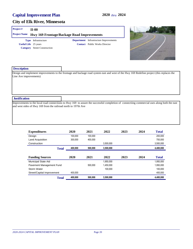#### **City of Elk River, Minnesota**

#### **Project # II-00**

**Project Name Hwy 169 Frontage/Backage Road Improvements**

**Useful Life** 25 years **Category** Street Construction **Type** Infrastructure

**Contact** Public Works Director **Department** Infrastructure Improvements



#### **Description**

Design and implement improvements to the frontage and backage road system east and west of the Hwy 169 Redefine project (this replaces the Line Ave improvements)

#### **Justification**

Improvements to the local road connections to Hwy 169 to assure the successful completion of connectiing commercial uses along both the east and west sides of Hwy 169 from the railroad north to 197th Ave

| <b>Expenditures</b>        | 2020    | 2021    | 2022      | 2023 | 2024 | <b>Total</b> |
|----------------------------|---------|---------|-----------|------|------|--------------|
| Design                     | 100.000 | 100.000 |           |      |      | 200.000      |
| Land Acquisition           | 300.000 | 400.000 |           |      |      | 700.000      |
| Construction               |         |         | 3.500.000 |      |      | 3,500,000    |
| <b>Total</b>               | 400,000 | 500,000 | 3,500,000 |      |      | 4,400,000    |
| <b>Funding Sources</b>     | 2020    | 2021    | 2022      | 2023 | 2024 | <b>Total</b> |
| Municipal State Aid        |         |         | 1.950.000 |      |      | 1.950.000    |
| Pavement Management Fund   |         | 500.000 | 1.450.000 |      |      | 1,950,000    |
| Storm Water                |         |         | 100.000   |      |      | 100.000      |
| Street/Capital Improvement | 400.000 |         |           |      |      | 400,000      |
| <b>Total</b>               | 400.000 | 500.000 | 3.500.000 |      |      | 4.400.000    |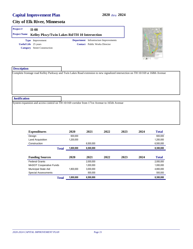#### **City of Elk River, Minnesota**

#### **Project # II-08**

**Project Name Kelley Pkwy/Twin Lakes Rd/TH 10 Intersection**

**Useful Life** 25 years **Category** Street Construction **Type** Improvement

**Contact** Public Works Director **Department** Infrastructure Improvements



| <b>Description</b>   |                                                                                                                                 |
|----------------------|---------------------------------------------------------------------------------------------------------------------------------|
|                      | Complete frontage road Kelley Parkway and Twin Lakes Road extension to new signalized intersection on TH 10/169 at 168th Avenue |
|                      |                                                                                                                                 |
|                      |                                                                                                                                 |
|                      |                                                                                                                                 |
|                      |                                                                                                                                 |
| <b>Justification</b> |                                                                                                                                 |
|                      | System expansion and access control on TH 10/169 corridor from 171st Avenue to 165th Avenue                                     |
|                      |                                                                                                                                 |
|                      |                                                                                                                                 |
|                      |                                                                                                                                 |

| <b>Expenditures</b>            | 2020      | 2021      | 2022 | 2023 | 2024 | <b>Total</b> |
|--------------------------------|-----------|-----------|------|------|------|--------------|
| Design                         | 600.000   |           |      |      |      | 600.000      |
| <b>Land Acquisition</b>        | 1.200.000 |           |      |      |      | 1.200.000    |
| Construction                   |           | 6.500.000 |      |      |      | 6,500,000    |
| <b>Total</b>                   | 1,800,000 | 6,500,000 |      |      |      | 8,300,000    |
|                                |           |           |      |      |      |              |
| <b>Funding Sources</b>         | 2020      | 2021      | 2022 | 2023 | 2024 | <b>Total</b> |
| <b>Federal Grants</b>          |           | 2,000,000 |      |      |      | 2,000,000    |
| <b>MnDOT Cooperative Funds</b> |           | 1.000.000 |      |      |      | 1,000,000    |
| <b>Municipal State Aid</b>     | 1.800.000 | 3,000,000 |      |      |      | 4,800,000    |
| <b>Special Assessments</b>     |           | 500,000   |      |      |      | 500,000      |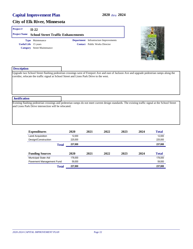#### **City of Elk River, Minnesota**

#### **Project # II-22**

| <b>Project Name School Street Traffic Enhancements</b> |                                               |
|--------------------------------------------------------|-----------------------------------------------|
| <b>Type</b> Maintenance                                | <b>Department</b> Infrastructure Improvements |
| <b>Useful Life</b> 15 years                            | <b>Contact</b> Public Works Director          |
| <b>Category</b> Street Maintenance                     |                                               |



| <b>Description</b>                                                                       |                                                                                                                                                    |
|------------------------------------------------------------------------------------------|----------------------------------------------------------------------------------------------------------------------------------------------------|
|                                                                                          | Upgrade two School Street flashing pedestrian crossings west of Freeport Ave and east of Jackson Ave and upgrade pedestrian ramps along the        |
| corridor, relocate the traffic signal at School Street and Lions Park Drive to the west. |                                                                                                                                                    |
|                                                                                          |                                                                                                                                                    |
|                                                                                          |                                                                                                                                                    |
|                                                                                          |                                                                                                                                                    |
|                                                                                          |                                                                                                                                                    |
| <b>Justification</b>                                                                     |                                                                                                                                                    |
|                                                                                          | Existing flashing pedestrian crossings and pedestrian ramps do not meet current design standards. The existing traffic signal at the School Street |
| and Lions Park Drive intersection will be relocated.                                     |                                                                                                                                                    |
|                                                                                          |                                                                                                                                                    |

| <b>Expenditures</b>      | 2020    | 2021 | 2022 | 2023 | 2024 | <b>Total</b> |
|--------------------------|---------|------|------|------|------|--------------|
| Land Acquisition         | 12.000  |      |      |      |      | 12,000       |
| Design/Construction      | 225,000 |      |      |      |      | 225,000      |
| <b>Total</b>             | 237,000 |      |      |      |      | 237,000      |
| <b>Funding Sources</b>   | 2020    | 2021 | 2022 | 2023 | 2024 | <b>Total</b> |
| Municipal State Aid      | 178.000 |      |      |      |      | 178,000      |
| Pavement Management Fund | 59,000  |      |      |      |      | 59,000       |
| <b>Total</b>             | 237,000 |      |      |      |      | 237,000      |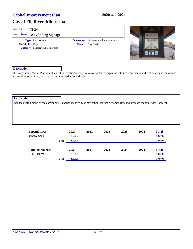#### **City of Elk River, Minnesota**

# **Description** The Wayfinding Master Plan is a blueprint for creating an easy to follow system of signs for entrance identification, directional signs for various modes of transportation, parking, parks, interpretive, and kiosks. **Project # II-34 Justification** Enhance overall brand of the community, establish identity, ease navigation, market city amenities, and promote economic development. **Useful Life** 25 years **Project Name Wayfinding Signage Category** Landscaping/Boulevards **Type** Improvement **Contact** City Clerk **Department** Infrastructure Improvements

| <b>Expenditures</b>    |              | 2020    | 2021 | 2022 | 2023 | 2024 | <b>Total</b> |
|------------------------|--------------|---------|------|------|------|------|--------------|
| Improvements           |              | 200.000 |      |      |      |      | 200,000      |
|                        | <b>Total</b> | 200,000 |      |      |      |      | 200,000      |
| <b>Funding Sources</b> |              | 2020    | 2021 | 2022 | 2023 | 2024 | <b>Total</b> |
| <b>GRE Reserve</b>     |              | 200,000 |      |      |      |      | 200,000      |
|                        | <b>Total</b> | 200,000 |      |      |      |      | 200.000      |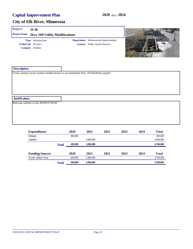#### **City of Elk River, Minnesota**

## **Project # II-36**

| <b>Project Name</b>         | <b>Hwy 169 Utility Modifications</b> |    |
|-----------------------------|--------------------------------------|----|
|                             | <b>Type</b> Infrastructure           | De |
| <b>Useful Life</b> 20 years |                                      |    |
|                             | <b>Category</b> Utilities            |    |

**Contact** Public Works Director **Department** Infrastructure Improvements



| <b>Description</b>                  |                                                                                   |
|-------------------------------------|-----------------------------------------------------------------------------------|
|                                     | Trunk sanitary sewer system modifications to accommodate Hwy 169 Redefine project |
|                                     |                                                                                   |
|                                     |                                                                                   |
|                                     |                                                                                   |
|                                     |                                                                                   |
|                                     |                                                                                   |
| <b>Justification</b>                |                                                                                   |
| Relocate utilities in the MNDOT ROW |                                                                                   |
|                                     |                                                                                   |
|                                     |                                                                                   |
|                                     |                                                                                   |
|                                     |                                                                                   |
|                                     |                                                                                   |

| <b>Expenditures</b>       |              | 2020    | 2021      | 2022 | 2023 | 2024 | <b>Total</b> |
|---------------------------|--------------|---------|-----------|------|------|------|--------------|
| Design                    |              | 200,000 |           |      |      |      | 200,000      |
| <b>Utilities</b>          |              |         | 2.500.000 |      |      |      | 2,500,000    |
|                           | <b>Total</b> | 200,000 | 2,500,000 |      |      |      | 2,700,000    |
| <b>Funding Sources</b>    |              | 2020    | 2021      | 2022 | 2023 | 2024 | <b>Total</b> |
| <b>Trunk Utility Fund</b> |              | 200.000 | 2.500.000 |      |      |      | 2,700,000    |
|                           | <b>Total</b> | 200,000 | 2,500,000 |      |      |      | 2,700,000    |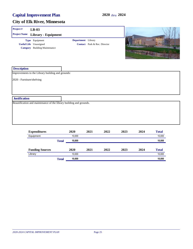| Project#                  | $LB-03$                                                                                 |                    |                              |      |      |                |              |
|---------------------------|-----------------------------------------------------------------------------------------|--------------------|------------------------------|------|------|----------------|--------------|
| <b>Project Name</b>       | Library - Equipment                                                                     |                    |                              |      |      |                |              |
|                           | Type Equipment<br><b>Useful Life</b> Unassigned<br><b>Category</b> Building Maintenance | Department Library | Contact Park & Rec. Director |      |      | <b>TASSING</b> |              |
| <b>Description</b>        |                                                                                         |                    |                              |      |      |                |              |
|                           | Improvements to the Library building and grounds:                                       |                    |                              |      |      |                |              |
| 2020 - Furniture/shelving |                                                                                         |                    |                              |      |      |                |              |
|                           |                                                                                         |                    |                              |      |      |                |              |
|                           |                                                                                         |                    |                              |      |      |                |              |
| <b>Justification</b>      |                                                                                         |                    |                              |      |      |                |              |
|                           | Beautification and maintenance of the library building and grounds.                     |                    |                              |      |      |                |              |
|                           |                                                                                         |                    |                              |      |      |                |              |
|                           |                                                                                         |                    |                              |      |      |                |              |
|                           |                                                                                         |                    |                              |      |      |                |              |
|                           | <b>Expenditures</b>                                                                     | 2020               | 2021                         | 2022 | 2023 | 2024           | <b>Total</b> |

| <b>Expenditures</b>    |              | 2020   | 2021 | 2022 | 2023 | 2024 | 1 otal       |
|------------------------|--------------|--------|------|------|------|------|--------------|
| Equipment              |              | 10.000 |      |      |      |      | 10,000       |
|                        | <b>Total</b> | 10.000 |      |      |      |      | 10,000       |
| <b>Funding Sources</b> |              | 2020   | 2021 | 2022 | 2023 | 2024 | <b>Total</b> |
| Library                |              | 10.000 |      |      |      |      | 10,000       |
|                        | <b>Total</b> | 10,000 |      |      |      |      | 10,000       |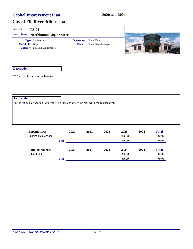| Project#<br><b>LS-01</b>                                                                   |                        |                                     |                   |
|--------------------------------------------------------------------------------------------|------------------------|-------------------------------------|-------------------|
| <b>Project Name</b><br><b>Northbound Liquor Store</b>                                      |                        |                                     |                   |
| Type Maintenance<br><b>Useful Life</b> 20 years<br><b>Category</b> Building Maintenance    | Department Liquor Fund | <b>Contact</b> Liquor Store Manager | <b>HORTHBOUND</b> |
| <b>Description</b>                                                                         |                        |                                     |                   |
| 2023 - Northbound roof replacement                                                         |                        |                                     |                   |
|                                                                                            |                        |                                     |                   |
|                                                                                            |                        |                                     |                   |
| <b>Justification</b>                                                                       |                        |                                     |                   |
| Built in 1996, Northbound liquor store is of the age where the roof will need replacement. |                        |                                     |                   |

| <b>Expenditures</b>         |              | 2020 | 2021 | 2022 | 2023    | 2024 | <b>Total</b> |
|-----------------------------|--------------|------|------|------|---------|------|--------------|
| <b>Building Maintenance</b> |              |      |      |      | 100.000 |      | 100,000      |
|                             | <b>Total</b> |      |      |      | 100,000 |      | 100,000      |
| <b>Funding Sources</b>      |              | 2020 | 2021 | 2022 | 2023    | 2024 | <b>Total</b> |
| Liquor Fund                 |              |      |      |      | 100.000 |      | 100,000      |
|                             | <b>Total</b> |      |      |      | 100.000 |      | 100,000      |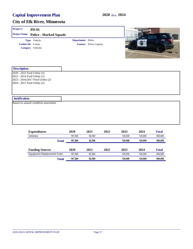| Project#<br><b>Project Name</b>                                                              | <b>PD-01</b><br><b>Police - Marked Squads</b>                   |                   |                               |      |               |               |                          |
|----------------------------------------------------------------------------------------------|-----------------------------------------------------------------|-------------------|-------------------------------|------|---------------|---------------|--------------------------|
|                                                                                              | Type Vehicle<br><b>Useful Life</b> 4 years<br>Category Vehicles | Department Police | <b>Contact</b> Police Captain |      |               |               |                          |
| <b>Description</b>                                                                           |                                                                 |                   |                               |      |               |               |                          |
| 2020 - 2015 Ford Utility (3)<br>2021 - 2014 Ford Utility (1)<br>2024 - 2017 Ford Utility (2) | 2023 - 2016/2017 Ford Utility (2)                               |                   |                               |      |               |               |                          |
| <b>Justification</b>                                                                         |                                                                 |                   |                               |      |               |               |                          |
|                                                                                              | Based on annual condition assessment                            |                   |                               |      |               |               |                          |
|                                                                                              | <b>Expenditures</b><br>U <sub>ab</sub>                          | 2020<br>107 E00   | 2021<br>CO EDD.               | 2022 | 2023<br>12500 | 2024<br>12500 | <b>Total</b><br>EDD DDD. |

| Total                      | 187.500 | 62.500 |      | 125.000 | 125.000 | 500,000      |
|----------------------------|---------|--------|------|---------|---------|--------------|
| Equipment Replacement Fund | 187.500 | 62.500 |      | 125.000 | 125.000 | 500,000      |
| <b>Funding Sources</b>     | 2020    | 2021   | 2022 | 2023    | 2024    | <b>Total</b> |
| Total                      | 187.500 | 62.500 |      | 125.000 | 125.000 | 500,000      |
| Vehicles                   | 187.500 | 62.500 |      | 125.000 | 125.000 | 500.000      |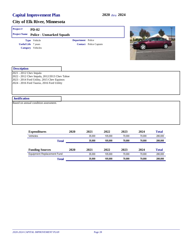| Project#                   | <b>PD-02</b>                                                                                                                               |                   |                               |              |      |              |
|----------------------------|--------------------------------------------------------------------------------------------------------------------------------------------|-------------------|-------------------------------|--------------|------|--------------|
| <b>Project Name</b>        | <b>Police - Unmarked Squads</b>                                                                                                            |                   |                               |              |      |              |
| <b>Useful Life</b> 7 years | Type Vehicle<br>Category Vehicles                                                                                                          | Department Police | <b>Contact</b> Police Captain |              |      |              |
| <b>Description</b>         |                                                                                                                                            |                   |                               |              |      |              |
| 2021 - 2012 Chev Impala    | 2022 - 2012 Chev Impala, 2012/2013 Chev Tahoe<br>2023 - 2014 Ford Utility, 2015 Chev Equinox<br>2024 - 2016 Ford Taurus, 2016 Ford Utility |                   |                               |              |      |              |
| <b>Justification</b>       |                                                                                                                                            |                   |                               |              |      |              |
|                            | Based on annual condition assessment.                                                                                                      |                   |                               |              |      |              |
|                            | <b>Expenditures</b>                                                                                                                        | 2020              | 2021                          | 2022<br>2023 | 2024 | <b>Total</b> |

| Vehicles                   |       |      | 35.000 | 105.000 | 70.000 | 70.000 | 280.000      |
|----------------------------|-------|------|--------|---------|--------|--------|--------------|
|                            | Total |      | 35.000 | 105.000 | 70.000 | 70.000 | 280,000      |
|                            |       |      |        |         |        |        |              |
|                            |       |      |        |         |        |        |              |
| <b>Funding Sources</b>     |       | 2020 | 2021   | 2022    | 2023   | 2024   | <b>Total</b> |
| Equipment Replacement Fund |       |      | 35.000 | 105.000 | 70.000 | 70.000 | 280,000      |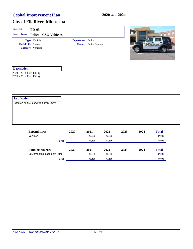| Project#                                             | <b>PD-03</b>                              |                   |                               |              |      |              |
|------------------------------------------------------|-------------------------------------------|-------------------|-------------------------------|--------------|------|--------------|
|                                                      | <b>Project Name Police - CSO Vehicles</b> |                   |                               |              |      | <b>CCI</b>   |
|                                                      | Type Vehicle                              | Department Police |                               |              |      |              |
|                                                      | <b>Useful Life</b> 6 years                |                   | <b>Contact</b> Police Captain |              |      |              |
|                                                      | Category Vehicles                         |                   |                               |              |      |              |
| <b>Description</b>                                   |                                           |                   |                               |              |      |              |
| 2021 - 2014 Ford Utility<br>2022 - 2014 Ford Utility |                                           |                   |                               |              |      |              |
| <b>Justification</b>                                 |                                           |                   |                               |              |      |              |
|                                                      | Based on annual condition assessment      |                   |                               |              |      |              |
|                                                      |                                           |                   |                               |              |      |              |
|                                                      | <b>Expenditures</b>                       | 2020              | 2021                          | 2022<br>2023 | 2024 | <b>Total</b> |

| Vehicles                          |              |      | 43.500 | 43.500 |      |      | 87,000       |
|-----------------------------------|--------------|------|--------|--------|------|------|--------------|
|                                   | <b>Total</b> |      | 43.500 | 43.500 |      |      | 87,000       |
| <b>Funding Sources</b>            |              | 2020 | 2021   | 2022   | 2023 | 2024 | <b>Total</b> |
| <b>Equipment Replacement Fund</b> |              |      | 43.500 | 43.500 |      |      | 87,000       |
|                                   | Total        |      | 43.500 | 43.500 |      |      | 87,000       |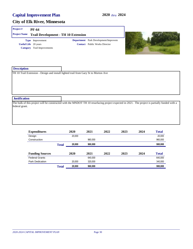#### **City of Elk River, Minnesota**

#### **Project # PF-64**

| <b>Project Name Trail Development - TH 10 Extension</b> |                                             |
|---------------------------------------------------------|---------------------------------------------|
| <b>Type</b> Improvement                                 | <b>Department</b> Park Development/Improvem |
| <b>Useful Life</b> 20 years                             | <b>Contact</b> Public Works Director        |
| <b>Category</b> Trail Improvements                      |                                             |



| <b>Description</b>                                                                  |                                                                                                                                                |
|-------------------------------------------------------------------------------------|------------------------------------------------------------------------------------------------------------------------------------------------|
| TH 10 Trail Extension - Design and install lighted trail from Gary St to Morton Ave |                                                                                                                                                |
|                                                                                     |                                                                                                                                                |
|                                                                                     |                                                                                                                                                |
|                                                                                     |                                                                                                                                                |
|                                                                                     |                                                                                                                                                |
| <b>Justification</b>                                                                |                                                                                                                                                |
|                                                                                     | The bulk of this project will be constructed with the MNDOT TH 10 resurfacing project expected in 2021. The project is partially funded with a |
| federal grant.                                                                      |                                                                                                                                                |
|                                                                                     |                                                                                                                                                |

| <b>Expenditures</b>    |              | 2020   | 2021    | 2022 | 2023 | 2024 | <b>Total</b> |
|------------------------|--------------|--------|---------|------|------|------|--------------|
| Design                 |              | 20,000 |         |      |      |      | 20,000       |
| Construction           |              |        | 960.000 |      |      |      | 960,000      |
|                        | <b>Total</b> | 20,000 | 960,000 |      |      |      | 980,000      |
| <b>Funding Sources</b> |              | 2020   | 2021    | 2022 | 2023 | 2024 | <b>Total</b> |
| <b>Federal Grants</b>  |              |        | 640.000 |      |      |      | 640,000      |
| <b>Park Dedication</b> |              | 20,000 | 320,000 |      |      |      | 340,000      |
|                        | <b>Total</b> | 20,000 | 960.000 |      |      |      | 980,000      |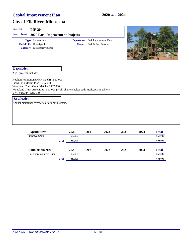#### **City of Elk River, Minnesota**

#### **Project # PIF-20**

| <b>Project Name</b><br>2020 Park Improvement Projects |                                   |  |                                         |  |  |  |  |
|-------------------------------------------------------|-----------------------------------|--|-----------------------------------------|--|--|--|--|
|                                                       | <b>Type</b> Maintenance           |  | <b>Department</b> Park Improvement Fund |  |  |  |  |
| <b>Useful Life</b> Unassigned                         |                                   |  | <b>Contact</b> Park & Rec. Director     |  |  |  |  |
|                                                       | <b>Category</b> Park Improvements |  |                                         |  |  |  |  |
|                                                       |                                   |  |                                         |  |  |  |  |
|                                                       |                                   |  |                                         |  |  |  |  |



| <b>Description</b>                                                                                                                                                                                                                                |  |
|---------------------------------------------------------------------------------------------------------------------------------------------------------------------------------------------------------------------------------------------------|--|
| 2020 projects include:                                                                                                                                                                                                                            |  |
| Houlton restoration (FMR match) - \$10,000<br>Lions Park Master Plan - \$15,000<br>Woodland Trails Grant Match - \$387,000<br>Woodland Trails Amenities - \$90,000 (Well, shelter/shelter pads, trails, picnic tables)<br>YAC dugouts - \$150,000 |  |
| <b>Justification</b>                                                                                                                                                                                                                              |  |

Annual maintenance/repairs of our park system.

| <b>Expenditures</b>    | 2020    | 2021 | 2022 | 2023 | 2024 | <b>Total</b> |
|------------------------|---------|------|------|------|------|--------------|
| Improvements           | 652,000 |      |      |      |      | 652,000      |
| <b>Total</b>           | 652.000 |      |      |      |      | 652,000      |
| <b>Funding Sources</b> | 2020    | 2021 | 2022 | 2023 | 2024 | <b>Total</b> |
| Park Improvement Fund  | 652.000 |      |      |      |      | 652.000      |
| <b>Total</b>           | 652,000 |      |      |      |      | 652,000      |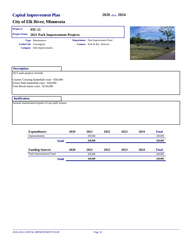## **City of Elk River, Minnesota**

#### **Project # PIF-21**

| <b>Project Name 2021 Park Improvement Projects</b> |                                         |
|----------------------------------------------------|-----------------------------------------|
| <b>Type</b> Maintenance                            | <b>Department</b> Park Improvement Fund |
| <b>Useful Life</b> Unassigned                      | <b>Contact</b> Park & Rec. Director     |
| <b>Category</b> Park Improvements                  |                                         |



| <b>Description</b>                                                                                                              |  |
|---------------------------------------------------------------------------------------------------------------------------------|--|
| 2021 park projects include:                                                                                                     |  |
| Country Crossing basketball court - \$50,000<br>Fresno Park basketball court - \$30,000<br>Trott Brook tennis court - \$150,000 |  |
| <b>Justification</b>                                                                                                            |  |
| Annual maintenance/repairs of our park system.                                                                                  |  |
|                                                                                                                                 |  |
|                                                                                                                                 |  |
|                                                                                                                                 |  |

| <b>Expenditures</b>    |              | 2020 | 2021    | 2022 | 2023 | 2024 | <b>Total</b> |
|------------------------|--------------|------|---------|------|------|------|--------------|
| Improvements           |              |      | 230.000 |      |      |      | 230,000      |
|                        | <b>Total</b> |      | 230,000 |      |      |      | 230,000      |
| <b>Funding Sources</b> |              | 2020 | 2021    | 2022 | 2023 | 2024 | <b>Total</b> |
| Park Improvement Fund  |              |      | 230.000 |      |      |      | 230,000      |
|                        | <b>Total</b> |      | 230,000 |      |      |      | 230,000      |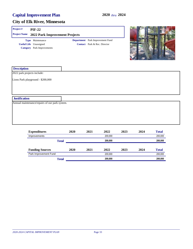#### **City of Elk River, Minnesota**

#### **Project # PIF-22**

|                                   | <b>Project Name</b> 2022 Park Improvement Projects |                                         |
|-----------------------------------|----------------------------------------------------|-----------------------------------------|
| <b>Type</b> Maintenance           |                                                    | <b>Department</b> Park Improvement Fund |
| <b>Useful Life</b> Unassigned     |                                                    | <b>Contact</b> Park & Rec. Director     |
| <b>Category</b> Park Improvements |                                                    |                                         |
|                                   |                                                    |                                         |



| <b>Description</b>                             |      |      |      |      |      |              |  |
|------------------------------------------------|------|------|------|------|------|--------------|--|
| 2022 park projects include:                    |      |      |      |      |      |              |  |
| Lions Park playground - \$200,000              |      |      |      |      |      |              |  |
|                                                |      |      |      |      |      |              |  |
|                                                |      |      |      |      |      |              |  |
|                                                |      |      |      |      |      |              |  |
| <b>Justification</b>                           |      |      |      |      |      |              |  |
| Annual maintenance/repairs of our park system. |      |      |      |      |      |              |  |
|                                                |      |      |      |      |      |              |  |
|                                                |      |      |      |      |      |              |  |
|                                                |      |      |      |      |      |              |  |
|                                                |      |      |      |      |      |              |  |
|                                                |      |      |      |      |      |              |  |
| <b>Expenditures</b>                            | 2020 | 2021 | 2022 | 2023 | 2024 | <b>Total</b> |  |

| Improvements           |              |      |         | 200,000 | 200,000 |      |              |
|------------------------|--------------|------|---------|---------|---------|------|--------------|
| <b>Total</b>           |              |      |         | 200,000 |         |      |              |
| <b>Funding Sources</b> |              | 2020 | 2021    | 2022    | 2023    | 2024 | <b>Total</b> |
| Park Improvement Fund  |              |      | 200.000 |         |         |      | 200,000      |
|                        | <b>Total</b> |      |         | 200,000 |         |      | 200,000      |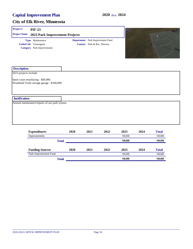| Project#               | <b>PIF-23</b>                                                                          |      |                                                                  |      |         |      |              |
|------------------------|----------------------------------------------------------------------------------------|------|------------------------------------------------------------------|------|---------|------|--------------|
| <b>Project Name</b>    | 2023 Park Improvement Projects                                                         |      |                                                                  |      |         |      |              |
|                        | Type Maintenance<br><b>Useful Life</b> Unassigned<br><b>Category</b> Park Improvements |      | Department Park Improvement Fund<br>Contact Park & Rec. Director |      |         |      |              |
| <b>Description</b>     |                                                                                        |      |                                                                  |      |         |      |              |
| 2023 projects include: | Sport court resurfacing - \$40,000<br>Woodland Trails storage garage - \$100,000       |      |                                                                  |      |         |      |              |
|                        |                                                                                        |      |                                                                  |      |         |      |              |
| <b>Justification</b>   |                                                                                        |      |                                                                  |      |         |      |              |
|                        | Annual maintenance/repairs of our park system.                                         |      |                                                                  |      |         |      |              |
|                        |                                                                                        |      |                                                                  |      |         |      |              |
|                        | <b>Expenditures</b>                                                                    | 2020 | 2021                                                             | 2022 | 2023    | 2024 | <b>Total</b> |
|                        | Improvements                                                                           |      |                                                                  |      | 140,000 |      | 140,000      |

|                        |       |      |      |      | .       |      | .            |
|------------------------|-------|------|------|------|---------|------|--------------|
|                        | Total |      |      |      | 140.000 |      | 140,000      |
| <b>Funding Sources</b> |       | 2020 | 2021 | 2022 | 2023    | 2024 | <b>Total</b> |
| Park Improvement Fund  |       |      |      |      | 140.000 |      | 140,000      |
|                        | Total |      |      |      | 140.000 |      | 140,000      |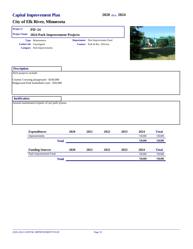| Project#               | <b>PIF-24</b>                                                                          |                                                                  |  |
|------------------------|----------------------------------------------------------------------------------------|------------------------------------------------------------------|--|
| <b>Project Name</b>    | 2024 Park Improvement Projects                                                         |                                                                  |  |
|                        | Type Maintenance<br><b>Useful Life</b> Unassigned<br><b>Category</b> Park Improvements | Department Park Improvement Fund<br>Contact Park & Rec. Director |  |
| <b>Description</b>     |                                                                                        |                                                                  |  |
| 2024 projects include: |                                                                                        |                                                                  |  |
|                        | Country Crossing playground - \$100,000<br>Ridgewood Park basketball court - \$30,000  |                                                                  |  |
| <b>Justification</b>   |                                                                                        |                                                                  |  |
|                        | Annual maintenance/repairs of our park system.                                         |                                                                  |  |
|                        |                                                                                        |                                                                  |  |
|                        |                                                                                        |                                                                  |  |
|                        |                                                                                        |                                                                  |  |
|                        |                                                                                        |                                                                  |  |

| <b>Expenditures</b>    |              | 2020 | 2021 | 2022 | 2023 | 2024    | <b>Total</b> |
|------------------------|--------------|------|------|------|------|---------|--------------|
| Improvements           |              |      |      |      |      | 130.000 | 130,000      |
|                        | <b>Total</b> |      |      |      |      | 130.000 | 130,000      |
| <b>Funding Sources</b> |              | 2020 | 2021 | 2022 | 2023 | 2024    | <b>Total</b> |
| Park Improvement Fund  |              |      |      |      |      | 130.000 | 130,000      |
|                        | Total        |      |      |      |      | 130.000 | 130,000      |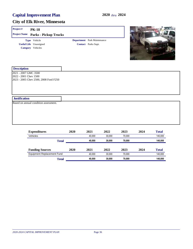| Project#                                      | <b>PK-18</b>                                                       |      |                                                                  |                    |
|-----------------------------------------------|--------------------------------------------------------------------|------|------------------------------------------------------------------|--------------------|
| <b>Project Name</b>                           | <b>Parks - Pickup Trucks</b>                                       |      |                                                                  |                    |
|                                               | Type Vehicle<br><b>Useful Life</b> Unassigned<br>Category Vehicles |      | <b>Department</b> Park Maintenance<br><b>Contact</b> Parks Supt. |                    |
| <b>Description</b>                            |                                                                    |      |                                                                  |                    |
| 2021 - 2007 GMC 3500<br>2022 - 2001 Chev 1500 | 2023 - 2005 Chev 2500, 2008 Ford F250                              |      |                                                                  |                    |
| <b>Justification</b>                          |                                                                    |      |                                                                  |                    |
|                                               | Based on annual condition assessment.                              |      |                                                                  |                    |
|                                               | $12$                                                               | 3030 | AA 4                                                             | 1.1<br>A44<br>ΛΛ / |

| <b>Expenditures</b>        | 2020         | 2021   | 2022   | 2023   | 2024 | <b>Total</b> |
|----------------------------|--------------|--------|--------|--------|------|--------------|
| Vehicles                   |              | 40.000 | 30.000 | 70.000 |      | 140.000      |
|                            | <b>Total</b> | 40.000 | 30,000 | 70.000 |      | 140,000      |
| <b>Funding Sources</b>     | 2020         | 2021   | 2022   | 2023   | 2024 | <b>Total</b> |
| Equipment Replacement Fund |              | 40.000 | 30.000 | 70.000 |      | 140.000      |
|                            | Total        | 40.000 | 30,000 | 70.000 |      | 140,000      |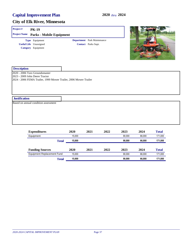| Project#             | <b>PK-19</b>                                                          |                                                                  |                                                           |      |                          |
|----------------------|-----------------------------------------------------------------------|------------------------------------------------------------------|-----------------------------------------------------------|------|--------------------------|
| <b>Project Name</b>  | <b>Parks - Mobile Equipment</b>                                       |                                                                  |                                                           |      |                          |
|                      | Type Equipment<br><b>Useful Life</b> Unassigned<br>Category Equipment |                                                                  | <b>Department</b> Park Maintenance<br>Contact Parks Supt. |      |                          |
| <b>Description</b>   |                                                                       |                                                                  |                                                           |      |                          |
|                      | 2020 - 2006 Toro Groundsmaster<br>2023 - 2009 John Deere Tractor      | 2024 - 2006 FEMA Trailer, 1999 Mower Trailer, 2006 Mower Trailer |                                                           |      |                          |
| <b>Justification</b> |                                                                       |                                                                  |                                                           |      |                          |
|                      | Based on annual condition assessment                                  |                                                                  |                                                           |      |                          |
|                      | $E$ ynondituros                                                       | ንስንስ                                                             | ากาา<br>ากา1                                              | つハつつ | $T_{\alpha}$ tal<br>2024 |

| <b>Expenditures</b>        | 2020   | 2021 | 2022 | 2023   | 2024   | <b>Total</b> |
|----------------------------|--------|------|------|--------|--------|--------------|
| Equipment                  | 15.000 |      |      | 90.000 | 66,000 | 171.000      |
| <b>Total</b>               | 15,000 |      |      | 90.000 | 66.000 | 171,000      |
| <b>Funding Sources</b>     | 2020   | 2021 | 2022 | 2023   | 2024   | <b>Total</b> |
| Equipment Replacement Fund | 15.000 |      |      | 90.000 | 66.000 | 171.000      |
| Total                      | 15,000 |      |      | 90.000 | 66,000 | 171,000      |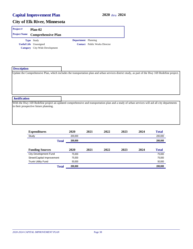| Project # | Plan-02                                |                            |                                      |
|-----------|----------------------------------------|----------------------------|--------------------------------------|
|           | <b>Project Name</b> Comprehensive Plan |                            |                                      |
|           | <b>Type</b> Study                      | <b>Department</b> Planning |                                      |
|           | <b>Useful Life</b> Unassigned          |                            | <b>Contact</b> Public Works Director |
|           | <b>Category</b> City-Wide Development  |                            |                                      |

| <b>Description</b>                    |                                                                                                                                                   |
|---------------------------------------|---------------------------------------------------------------------------------------------------------------------------------------------------|
|                                       | Update the Comprehensive Plan, which includes the transportation plan and urban services district study, as part of the Hwy 169 Redefine project. |
|                                       |                                                                                                                                                   |
|                                       |                                                                                                                                                   |
|                                       |                                                                                                                                                   |
|                                       |                                                                                                                                                   |
|                                       |                                                                                                                                                   |
| <b>Justification</b>                  |                                                                                                                                                   |
|                                       | With the Hwy 169 Redefine project an updated comprehensive and transportation plan and a study of urban services will aid all city departments    |
| in their prospective future planning. |                                                                                                                                                   |
|                                       |                                                                                                                                                   |
|                                       |                                                                                                                                                   |
|                                       |                                                                                                                                                   |
|                                       |                                                                                                                                                   |

| <b>Expenditures</b>          | 2020    | 2021 | 2022 | 2023 | 2024 | <b>Total</b> |
|------------------------------|---------|------|------|------|------|--------------|
| Study                        | 200,000 |      |      |      |      | 200,000      |
| <b>Total</b>                 | 200,000 |      |      |      |      | 200,000      |
|                              |         |      |      |      |      |              |
| <b>Funding Sources</b>       | 2020    | 2021 | 2022 | 2023 | 2024 | <b>Total</b> |
| <b>City Development Fund</b> | 75,000  |      |      |      |      | 75,000       |
| Street/Capital Improvement   | 75,000  |      |      |      |      | 75,000       |
| <b>Trunk Utility Fund</b>    | 50,000  |      |      |      |      | 50,000       |
| <b>Total</b>                 | 200,000 |      |      |      |      | 200,000      |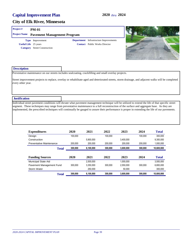#### **City of Elk River, Minnesota**

#### **Project # PM-01**

## **Project Name Pavement Management Program**

**Useful Life** 25 years **Category** Street Construction **Type** Improvement

**Contact** Public Works Director **Department** Infrastructure Improvements



#### **Description**

Preventative maintenance on our streets includes sealcoating, crackfilling and small overlay projects.

Street improvement projects to replace, overlay or rehabilitate aged and deteriorated streets, storm drainage, and adjacent walks will be completed every other year.

#### **Justification**

Individual street pavement conditions will dictate what pavement management technique will be utilized to extend the life of that specific street segment. These techniques may range from preventative maintenance to a full reconstruction of the surface and aggregate base. As they are implemented, the prescribed techniques will continually be gauged to assure their performance is proper in extending the life of our pavements.

| <b>Expenditures</b>        | 2020    | 2021      | 2022    | 2023      | 2024    | <b>Total</b> |
|----------------------------|---------|-----------|---------|-----------|---------|--------------|
| Design                     | 100.000 |           | 100.000 |           | 100.000 | 300.000      |
| Construction               |         | 5,900,000 |         | 3.400.000 |         | 9.300,000    |
| Preventative Maintenance   | 200.000 | 200.000   | 200.000 | 200.000   | 200.000 | 1,000,000    |
| <b>Total</b>               | 300,000 | 6,100,000 | 300,000 | 3,600,000 | 300,000 | 10,600,000   |
| <b>Funding Sources</b>     | 2020    | 2021      | 2022    | 2023      | 2024    | <b>Total</b> |
| <b>Municipal State Aid</b> |         | 2.500.000 |         | 1.000.000 |         | 3.500.000    |
| Pavement Management Fund   | 300.000 | 3.350.000 | 300.000 | 2.550.000 | 300.000 | 6.800.000    |
| Storm Water                |         | 250.000   |         | 50.000    |         | 300.000      |
| <b>Total</b>               | 300,000 | 6,100,000 | 300,000 | 3,600,000 | 300,000 | 10.600.000   |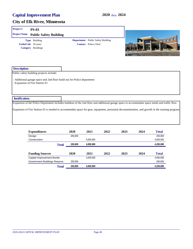| Project#             | <b>PS-03</b>                                                                                                                                    |         |                                          |      |      |              |
|----------------------|-------------------------------------------------------------------------------------------------------------------------------------------------|---------|------------------------------------------|------|------|--------------|
| <b>Project Name</b>  | <b>Public Safety Building</b>                                                                                                                   |         |                                          |      |      |              |
|                      | Type Building                                                                                                                                   |         | <b>Department</b> Public Safety Building |      |      | SEEEE        |
|                      | <b>Useful Life</b> 20 years                                                                                                                     |         | <b>Contact</b> Police Chief              |      |      |              |
|                      | <b>Category</b> Buildings                                                                                                                       |         |                                          |      |      |              |
| <b>Description</b>   |                                                                                                                                                 |         |                                          |      |      |              |
|                      | Public safety building projects include:                                                                                                        |         |                                          |      |      |              |
|                      | - Additional garage space and 2nd floor build out for Police department<br>- Expansion of Fire Station #2                                       |         |                                          |      |      |              |
| <b>Justification</b> |                                                                                                                                                 |         |                                          |      |      |              |
|                      | Expansion of the Police Department includes buildout of the 2nd floor and additional garage space to accommodate space needs and traffic flow.  |         |                                          |      |      |              |
|                      | Expansion of Fire Station #2 is needed to accommodate space for gear, equipment, personnal decontamination, and growth in the training program. |         |                                          |      |      |              |
|                      | <b>Expenditures</b>                                                                                                                             | 2020    | 2021<br>2022                             | 2023 | 2024 | <b>Total</b> |
|                      | Design                                                                                                                                          | 250,000 |                                          |      |      | 250,000      |

| Design                       | 250.000 |           |      |      |      | 250,000      |
|------------------------------|---------|-----------|------|------|------|--------------|
| Construction                 |         | 4.000.000 |      |      |      | 4,000,000    |
| <b>Total</b>                 | 250,000 | 4,000,000 |      |      |      | 4,250,000    |
| <b>Funding Sources</b>       | 2020    | 2021      | 2022 | 2023 | 2024 | <b>Total</b> |
| Capital Improvement Bonds    |         | 4,000,000 |      |      |      | 4,000,000    |
| Government Buildings Reserve | 250,000 |           |      |      |      | 250.000      |
|                              |         | 4,000,000 |      |      |      | 4,250,000    |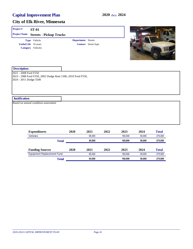| Project#                                        | <b>ST-01</b>                                                     |                           |                      |  |
|-------------------------------------------------|------------------------------------------------------------------|---------------------------|----------------------|--|
| <b>Project Name</b>                             | <b>Streets - Pickup Trucks</b>                                   |                           |                      |  |
|                                                 | Type Vehicle<br><b>Useful Life</b> 10 years<br>Category Vehicles | <b>Department</b> Streets | Contact Street Supt. |  |
| <b>Description</b>                              |                                                                  |                           |                      |  |
| 2021 - 2008 Ford F550<br>2024 - 2011 Dodge 5500 | 2023 - 1988 Ford F350, 2002 Dodge Ram 1500, 2010 Ford F550,      |                           |                      |  |
| <b>Justification</b>                            |                                                                  |                           |                      |  |
|                                                 | Based on annual condition assessment                             |                           |                      |  |
|                                                 |                                                                  |                           |                      |  |

| <b>Expenditures</b>               | 2020         | 2021   | 2022 | 2023    | 2024   | <b>Total</b> |
|-----------------------------------|--------------|--------|------|---------|--------|--------------|
| Vehicles                          |              | 65.000 |      | 160.000 | 50.000 | 275,000      |
|                                   | <b>Total</b> | 65.000 |      | 160.000 | 50.000 | 275,000      |
| <b>Funding Sources</b>            | 2020         | 2021   | 2022 | 2023    | 2024   | <b>Total</b> |
| <b>Equipment Replacement Fund</b> |              | 65.000 |      | 160.000 | 50.000 | 275.000      |
|                                   | Total        | 65.000 |      | 160.000 | 50,000 | 275,000      |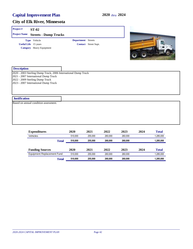| Project#             | <b>ST-02</b>                                                                                                                                                                      |                           |                      |  |
|----------------------|-----------------------------------------------------------------------------------------------------------------------------------------------------------------------------------|---------------------------|----------------------|--|
| <b>Project Name</b>  | <b>Streets - Dump Trucks</b>                                                                                                                                                      |                           |                      |  |
|                      | Type Vehicle                                                                                                                                                                      | <b>Department</b> Streets |                      |  |
|                      | <b>Useful Life</b> 15 years<br>Category Heavy Equipment                                                                                                                           |                           | Contact Street Supt. |  |
| <b>Description</b>   |                                                                                                                                                                                   |                           |                      |  |
|                      | 2020 - 2003 Sterling Dump Truck, 2006 International Dump Truck<br>2021 - 2007 International Dump Truck<br>2022 - 2009 Sterling Dump Truck<br>2023 - 2007 International Dump Truck |                           |                      |  |
| <b>Justification</b> |                                                                                                                                                                                   |                           |                      |  |
|                      | Based on annual condition assessment.                                                                                                                                             |                           |                      |  |
|                      |                                                                                                                                                                                   |                           |                      |  |

| <b>Expenditures</b>        |       | 2020    | 2021    | 2022    | 2023    | 2024 | <b>Total</b> |
|----------------------------|-------|---------|---------|---------|---------|------|--------------|
| Vehicles                   |       | 510.000 | 255.000 | 260.000 | 260.000 |      | 1.285.000    |
|                            | Total | 510,000 | 255,000 | 260,000 | 260,000 |      | 1,285,000    |
| <b>Funding Sources</b>     |       | 2020    | 2021    | 2022    | 2023    | 2024 | <b>Total</b> |
| Equipment Replacement Fund |       | 510.000 | 255.000 | 260,000 | 260.000 |      | 1.285.000    |
|                            | Total | 510,000 | 255,000 | 260,000 | 260,000 |      | 1,285,000    |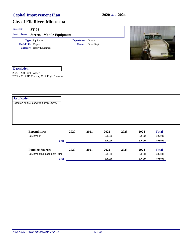| Project#               | <b>ST-03</b>                               |                           |                      |         |      |         |               |
|------------------------|--------------------------------------------|---------------------------|----------------------|---------|------|---------|---------------|
| <b>Project Name</b>    | <b>Streets - Mobile Equipment</b>          |                           |                      |         |      |         |               |
|                        | Type Equipment                             | <b>Department</b> Streets |                      |         |      |         |               |
|                        | <b>Useful Life</b> 15 years                |                           | Contact Street Supt. |         |      |         |               |
|                        | Category Heavy Equipment                   |                           |                      |         |      |         | ELGIA<br>2006 |
| <b>Description</b>     |                                            |                           |                      |         |      |         |               |
| 2022 - 2008 Cat Loader | 2024 - 2012 JD Tractor, 2012 Elgin Sweeper |                           |                      |         |      |         |               |
|                        |                                            |                           |                      |         |      |         |               |
|                        |                                            |                           |                      |         |      |         |               |
|                        |                                            |                           |                      |         |      |         |               |
|                        |                                            |                           |                      |         |      |         |               |
| <b>Justification</b>   |                                            |                           |                      |         |      |         |               |
|                        | Based on annual condition assessment.      |                           |                      |         |      |         |               |
|                        |                                            |                           |                      |         |      |         |               |
|                        |                                            |                           |                      |         |      |         |               |
|                        |                                            |                           |                      |         |      |         |               |
|                        |                                            |                           |                      |         |      |         |               |
|                        | <b>Expenditures</b>                        | 2020                      | 2021                 | 2022    | 2023 | 2024    | <b>Total</b>  |
|                        | Fauinment                                  |                           |                      | 225 000 |      | 370 000 | 595 000       |

| Equipment                  | 225.000 |      |         | 370.000 | 595.000 |              |
|----------------------------|---------|------|---------|---------|---------|--------------|
| <b>Total</b>               |         |      | 225,000 |         | 370,000 | 595,000      |
| <b>Funding Sources</b>     | 2020    | 2021 | 2022    | 2023    | 2024    | <b>Total</b> |
| Equipment Replacement Fund |         |      |         | 225.000 |         |              |
| Total                      |         |      | 225,000 |         | 370,000 | 595,000      |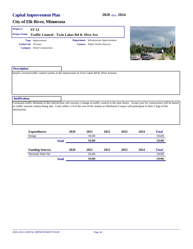#### **City of Elk River, Minnesota**

#### **Project # ST-12**

#### **Project Name Traffic Control - Twin Lakes Rd & 181st Ave**

**Useful Life** 20 years **Category** Street Construction **Type** Improvement

**Contact** Public Works Director **Department** Infrastructure Improvements



| <b>Description</b>   |                                                                                                                                                                                                                                                                                                          |
|----------------------|----------------------------------------------------------------------------------------------------------------------------------------------------------------------------------------------------------------------------------------------------------------------------------------------------------|
|                      | Install a revised traffic control system at the intersection of Twin Lakes Rd & 181st Avenue.                                                                                                                                                                                                            |
|                      |                                                                                                                                                                                                                                                                                                          |
|                      |                                                                                                                                                                                                                                                                                                          |
|                      |                                                                                                                                                                                                                                                                                                          |
|                      |                                                                                                                                                                                                                                                                                                          |
|                      |                                                                                                                                                                                                                                                                                                          |
| <b>Justification</b> |                                                                                                                                                                                                                                                                                                          |
| intersection.        | Continued traffic demands at this intersection will warrant a change in traffic control in the near future. Actual year for construction will be based<br>on traffic warrant criteria being met. Costs reflect 1/4 of the cost of the system as Sherburne County will participate in their 3 legs of the |
|                      |                                                                                                                                                                                                                                                                                                          |
|                      |                                                                                                                                                                                                                                                                                                          |
|                      |                                                                                                                                                                                                                                                                                                          |

| <b>Expenditures</b>    |              | 2020 | 2021    | 2022 | 2023 | 2024 | <b>Total</b> |
|------------------------|--------------|------|---------|------|------|------|--------------|
| Design                 |              |      | 125.000 |      |      |      | 125,000      |
|                        | <b>Total</b> |      | 125.000 |      |      |      | 125,000      |
| <b>Funding Sources</b> |              | 2020 | 2021    | 2022 | 2023 | 2024 | <b>Total</b> |
| Municipal State Aid    |              |      | 125.000 |      |      |      | 125,000      |
|                        | <b>Total</b> |      | 125,000 |      |      |      | 125,000      |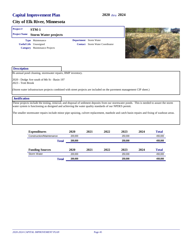| Project#             | STM-1                                                                                                  |                                          |                                |                                                                                                                                               |
|----------------------|--------------------------------------------------------------------------------------------------------|------------------------------------------|--------------------------------|-----------------------------------------------------------------------------------------------------------------------------------------------|
| <b>Project Name</b>  | <b>Storm Water projects</b>                                                                            |                                          |                                |                                                                                                                                               |
|                      | <b>Type</b> Maintenance<br><b>Useful Life</b> Unassigned<br><b>Category</b> Maintenance Projects       | Department Storm Water<br><b>Contact</b> | <b>Storm Water Coordinator</b> |                                                                                                                                               |
| <b>Description</b>   |                                                                                                        |                                          |                                |                                                                                                                                               |
|                      | Bi-annual pond cleaning, stormwater repairs, BMP inventory.                                            |                                          |                                |                                                                                                                                               |
| 2023 - Trott Brook   | 2020 - Dodge Ave south of 8th St - Basin 197                                                           |                                          |                                |                                                                                                                                               |
|                      |                                                                                                        |                                          |                                | (Storm water infrastructure projects combined with street projects are included on the pavement management CIP sheet.)                        |
| <b>Justification</b> |                                                                                                        |                                          |                                |                                                                                                                                               |
|                      | water system is functioning as designed and achieving the water quality standards of our NPDES permit. |                                          |                                | These projects include the testing, removal, and disposal of sediment deposits from our stormwater ponds. This is needed to assure the storm  |
|                      |                                                                                                        |                                          |                                | The smaller stormwater repairs include minor pipe upsizing, culvert replacement, manhole and catch basin repairs and fixing of washout areas. |
|                      |                                                                                                        |                                          |                                |                                                                                                                                               |
|                      |                                                                                                        |                                          |                                |                                                                                                                                               |

| <b>Expenditures</b>      |       | 2020               | 2021 | 2022 | 2023    | 2024 | <b>Total</b> |  |  |  |  |         |
|--------------------------|-------|--------------------|------|------|---------|------|--------------|--|--|--|--|---------|
| Construction/Maintenance |       | 200.000<br>250,000 |      |      |         |      |              |  |  |  |  | 450.000 |
|                          | Total | 200.000            |      |      | 250,000 |      | 450,000      |  |  |  |  |         |
|                          |       |                    |      |      |         |      |              |  |  |  |  |         |
| <b>Funding Sources</b>   |       | 2020               | 2021 | 2022 | 2023    | 2024 | <b>Total</b> |  |  |  |  |         |
| Storm Water              |       | 200.000            |      |      | 250.000 |      | 450.000      |  |  |  |  |         |
|                          | Total | 200,000            |      |      | 250,000 |      | 450,000      |  |  |  |  |         |